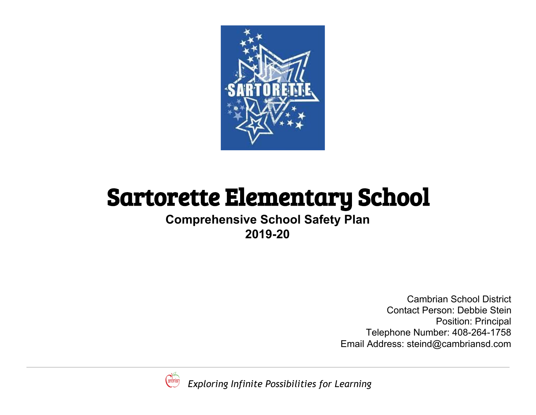

# Sartorette Elementary School

**Comprehensive School Safety Plan 2019-20**

> Cambrian School District Contact Person: Debbie Stein Position: Principal Telephone Number: 408-264-1758 Email Address: steind@cambriansd.com



 *Exploring Infinite Possibilities for Learning*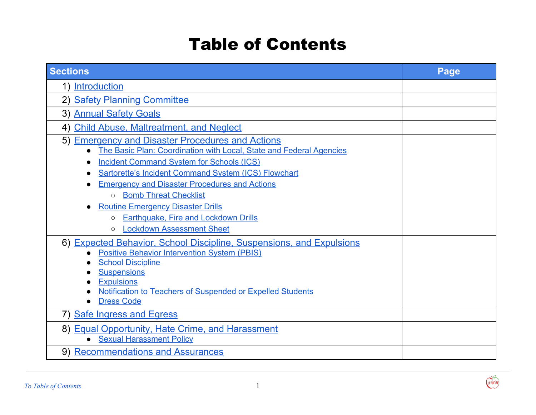## <span id="page-1-0"></span>Table of Contents

| <b>Sections</b>                                                                                                                                                                                                                                                                       | Page |
|---------------------------------------------------------------------------------------------------------------------------------------------------------------------------------------------------------------------------------------------------------------------------------------|------|
| 1) Introduction                                                                                                                                                                                                                                                                       |      |
| 2) Safety Planning Committee                                                                                                                                                                                                                                                          |      |
| 3) Annual Safety Goals                                                                                                                                                                                                                                                                |      |
| 4) Child Abuse, Maltreatment, and Neglect                                                                                                                                                                                                                                             |      |
| 5) Emergency and Disaster Procedures and Actions<br>The Basic Plan: Coordination with Local, State and Federal Agencies<br>$\bullet$<br><b>Incident Command System for Schools (ICS)</b>                                                                                              |      |
| Sartorette's Incident Command System (ICS) Flowchart<br><b>Emergency and Disaster Procedures and Actions</b>                                                                                                                                                                          |      |
| <b>Bomb Threat Checklist</b><br>$\circ$                                                                                                                                                                                                                                               |      |
| <b>Routine Emergency Disaster Drills</b>                                                                                                                                                                                                                                              |      |
| o Earthquake, Fire and Lockdown Drills<br><b>Lockdown Assessment Sheet</b><br>$\circ$                                                                                                                                                                                                 |      |
| 6) Expected Behavior, School Discipline, Suspensions, and Expulsions<br><b>Positive Behavior Intervention System (PBIS)</b><br><b>School Discipline</b><br><b>Suspensions</b><br><b>Expulsions</b><br>Notification to Teachers of Suspended or Expelled Students<br><b>Dress Code</b> |      |
| 7) Safe Ingress and Egress                                                                                                                                                                                                                                                            |      |
| 8) Equal Opportunity, Hate Crime, and Harassment<br><b>Sexual Harassment Policy</b>                                                                                                                                                                                                   |      |
| 9) Recommendations and Assurances                                                                                                                                                                                                                                                     |      |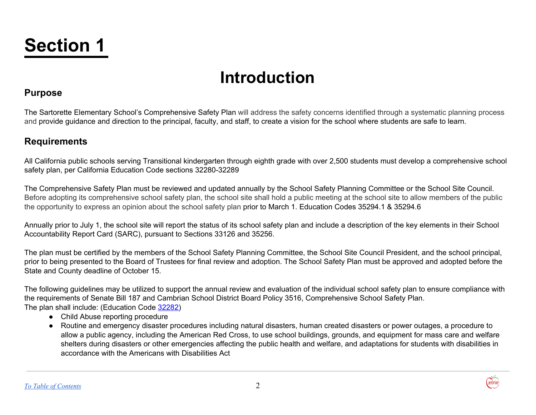# <span id="page-2-0"></span>**Section 1**

## **Introduction**

## **Purpose**

The Sartorette Elementary School's Comprehensive Safety Plan will address the safety concerns identified through a systematic planning process and provide guidance and direction to the principal, faculty, and staff, to create a vision for the school where students are safe to learn.

## **Requirements**

All California public schools serving Transitional kindergarten through eighth grade with over 2,500 students must develop a comprehensive school safety plan, per California Education Code sections 32280-32289

The Comprehensive Safety Plan must be reviewed and updated annually by the School Safety Planning Committee or the School Site Council. Before adopting its comprehensive school safety plan, the school site shall hold a public meeting at the school site to allow members of the public the opportunity to express an opinion about the school safety plan prior to March 1. Education Codes 35294.1 & 35294.6

Annually prior to July 1, the school site will report the status of its school safety plan and include a description of the key elements in their School Accountability Report Card (SARC), pursuant to Sections 33126 and 35256.

The plan must be certified by the members of the School Safety Planning Committee, the School Site Council President, and the school principal, prior to being presented to the Board of Trustees for final review and adoption. The School Safety Plan must be approved and adopted before the State and County deadline of October 15.

The following guidelines may be utilized to support the annual review and evaluation of the individual school safety plan to ensure compliance with the requirements of Senate Bill 187 and Cambrian School District Board Policy 3516, Comprehensive School Safety Plan. The plan shall include: (Education Code [32282\)](http://www.gamutonline.net/displayPolicy/315706/0)

- Child Abuse reporting procedure
- Routine and emergency disaster procedures including natural disasters, human created disasters or power outages, a procedure to allow a public agency, including the American Red Cross, to use school buildings, grounds, and equipment for mass care and welfare shelters during disasters or other emergencies affecting the public health and welfare, and adaptations for students with disabilities in accordance with the Americans with Disabilities Act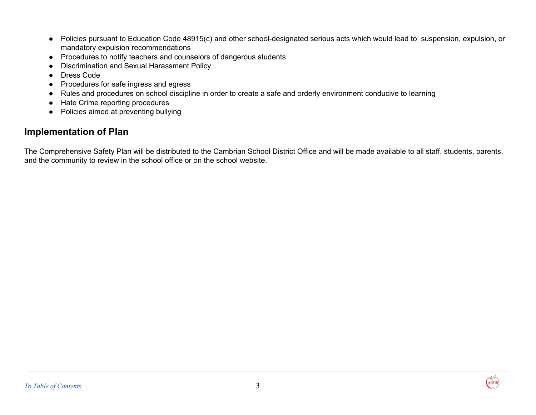- Policies pursuant to Education Code 48915(c) and other school-designated serious acts which would lead to suspension, expulsion, or mandatory expulsion recommendations
- Procedures to notify teachers and counselors of dangerous students
- Discrimination and Sexual Harassment Policy
- Dress Code
- Procedures for safe ingress and egress
- Rules and procedures on school discipline in order to create a safe and orderly environment conducive to learning
- Hate Crime reporting procedures
- Policies aimed at preventing bullying

## **Implementation of Plan**

The Comprehensive Safety Plan will be distributed to the Cambrian School District Office and will be made available to all staff, students, parents, and the community to review in the school office or on the school website.

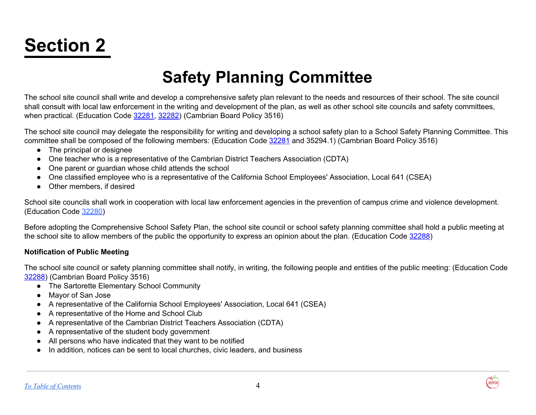# <span id="page-4-0"></span>**Section 2**

## **Safety Planning Committee**

The school site council shall write and develop a comprehensive safety plan relevant to the needs and resources of their school. The site council shall consult with local law enforcement in the writing and development of the plan, as well as other school site councils and safety committees, when practical. (Education Code [32281,](http://www.gamutonline.net/displayPolicy/315705/0) [32282\)](http://www.gamutonline.net/displayPolicy/315706/0) (Cambrian Board Policy 3516)

The school site council may delegate the responsibility for writing and developing a school safety plan to a School Safety Planning Committee. This committee shall be composed of the following members: (Education Code [32281](http://www.gamutonline.net/displayPolicy/315705/0) and 35294.1) (Cambrian Board Policy 3516)

- The principal or designee
- One teacher who is a representative of the Cambrian District Teachers Association (CDTA)
- One parent or guardian whose child attends the school
- One classified employee who is a representative of the California School Employees' Association, Local 641 (CSEA)
- Other members, if desired

School site councils shall work in cooperation with local law enforcement agencies in the prevention of campus crime and violence development. (Education Code 32280)

Before adopting the Comprehensive School Safety Plan, the school site council or school safety planning committee shall hold a public meeting at the school site to allow members of the public the opportunity to express an opinion about the plan. (Education Code [32288](http://www.gamutonline.net/displayPolicy/315712/0))

#### **Notification of Public Meeting**

The school site council or safety planning committee shall notify, in writing, the following people and entities of the public meeting: (Education Code [32288\)](http://www.gamutonline.net/displayPolicy/315712/0) (Cambrian Board Policy 3516)

- The Sartorette Elementary School Community
- Mayor of San Jose
- A representative of the California School Employees' Association, Local 641 (CSEA)
- A representative of the Home and School Club
- A representative of the Cambrian District Teachers Association (CDTA)
- A representative of the student body government
- All persons who have indicated that they want to be notified
- In addition, notices can be sent to local churches, civic leaders, and business

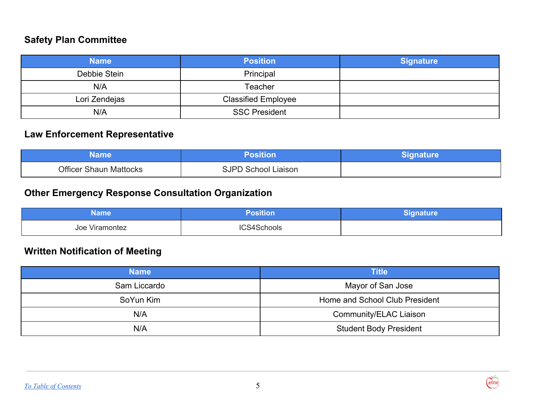## **Safety Plan Committee**

| <b>Name</b>   | <b>Position</b>            | <b>Signature</b> |
|---------------|----------------------------|------------------|
| Debbie Stein  | Principal                  |                  |
| N/A           | Teacher                    |                  |
| Lori Zendejas | <b>Classified Employee</b> |                  |
| N/A           | <b>SSC President</b>       |                  |

## **Law Enforcement Representative**

| Name                          | Position                   | <b>/Signature</b> |
|-------------------------------|----------------------------|-------------------|
| <b>Officer Shaun Mattocks</b> | <b>SJPD School Liaison</b> |                   |

## **Other Emergency Response Consultation Organization**

| Name                       | losition    | Signature |
|----------------------------|-------------|-----------|
| $\cdots$<br>Joe Viramontez | ICS4Schools |           |

## **Written Notification of Meeting**

| <b>Name</b>  | <b>Title</b>                   |
|--------------|--------------------------------|
| Sam Liccardo | Mayor of San Jose              |
| SoYun Kim    | Home and School Club President |
| N/A          | Community/ELAC Liaison         |
| N/A          | <b>Student Body President</b>  |

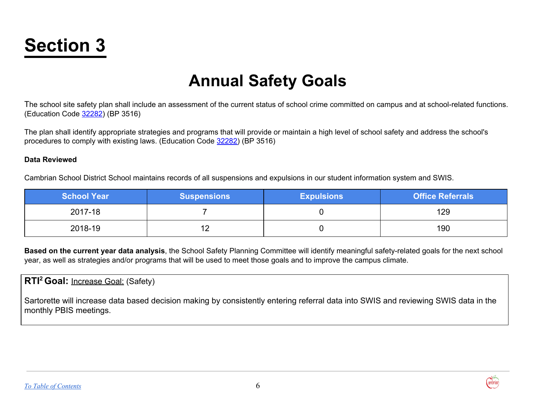# <span id="page-6-0"></span>**Section 3**

## **Annual Safety Goals**

The school site safety plan shall include an assessment of the current status of school crime committed on campus and at school-related functions. (Education Code [32282\)](http://www.gamutonline.net/displayPolicy/315706/0) (BP 3516)

The plan shall identify appropriate strategies and programs that will provide or maintain a high level of school safety and address the school's procedures to comply with existing laws. (Education Code [32282\)](http://www.gamutonline.net/displayPolicy/315706/0) (BP 3516)

#### **Data Reviewed**

Cambrian School District School maintains records of all suspensions and expulsions in our student information system and SWIS.

| <b>School Year</b> | <b>Suspensions</b> | <b>Expulsions</b> | <b>Office Referrals</b> |
|--------------------|--------------------|-------------------|-------------------------|
| 2017-18            |                    |                   | 129                     |
| 2018-19            | 12<br>$-$          |                   | 190                     |

**Based on the current year data analysis**, the School Safety Planning Committee will identify meaningful safety-related goals for the next school year, as well as strategies and/or programs that will be used to meet those goals and to improve the campus climate.

**RTI <sup>2</sup> Goal:** Increase Goal: (Safety)

Sartorette will increase data based decision making by consistently entering referral data into SWIS and reviewing SWIS data in the monthly PBIS meetings.

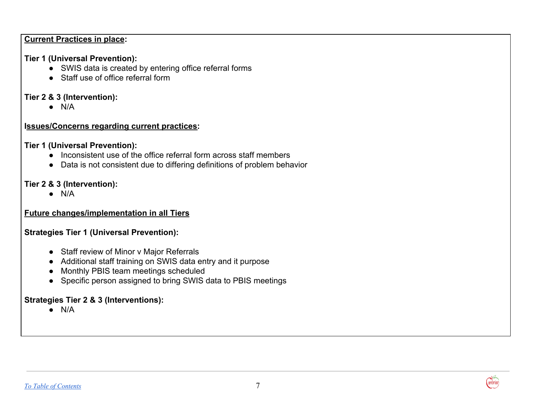#### **Current Practices in place:**

## **Tier 1 (Universal Prevention):**

- **●** SWIS data is created by entering office referral forms
- **●** Staff use of office referral form

## **Tier 2 & 3 (Intervention):**

**●** N/A

## **Issues/Concerns regarding current practices:**

## **Tier 1 (Universal Prevention):**

- **●** Inconsistent use of the office referral form across staff members
- Data is not consistent due to differing definitions of problem behavior

## **Tier 2 & 3 (Intervention):**

**●** N/A

## **Future changes/implementation in all Tiers**

## **Strategies Tier 1 (Universal Prevention):**

- Staff review of Minor v Major Referrals
- Additional staff training on SWIS data entry and it purpose
- Monthly PBIS team meetings scheduled
- Specific person assigned to bring SWIS data to PBIS meetings

## **Strategies Tier 2 & 3 (Interventions):**

 $\bullet$  N/A

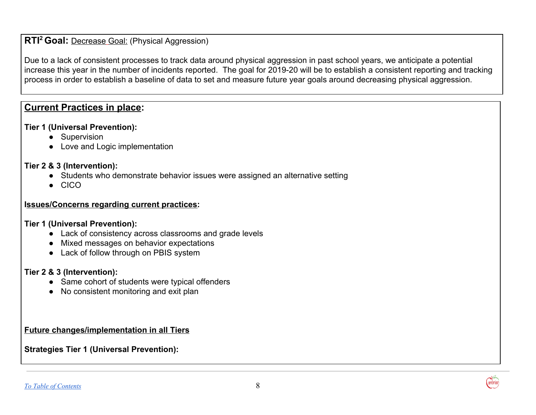## **RTI <sup>2</sup> Goal:** Decrease Goal: (Physical Aggression)

Due to a lack of consistent processes to track data around physical aggression in past school years, we anticipate a potential increase this year in the number of incidents reported. The goal for 2019-20 will be to establish a consistent reporting and tracking process in order to establish a baseline of data to set and measure future year goals around decreasing physical aggression.

## **Current Practices in place:**

#### **Tier 1 (Universal Prevention):**

- Supervision
- **●** Love and Logic implementation

#### **Tier 2 & 3 (Intervention):**

- Students who demonstrate behavior issues were assigned an alternative setting
- CICO

#### **Issues/Concerns regarding current practices:**

#### **Tier 1 (Universal Prevention):**

- Lack of consistency across classrooms and grade levels
- Mixed messages on behavior expectations
- Lack of follow through on PBIS system

#### **Tier 2 & 3 (Intervention):**

- Same cohort of students were typical offenders
- No consistent monitoring and exit plan

**Future changes/implementation in all Tiers**

#### **Strategies Tier 1 (Universal Prevention):**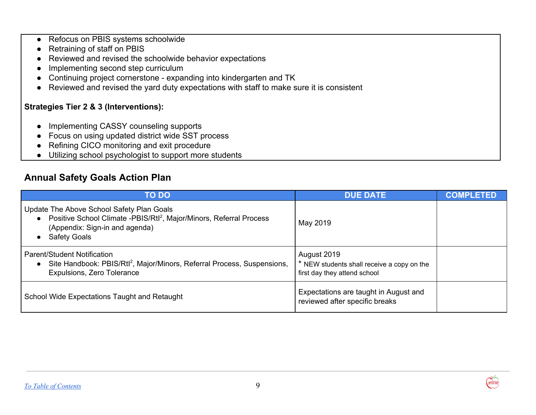- Refocus on PBIS systems schoolwide
- Retraining of staff on PBIS
- Reviewed and revised the schoolwide behavior expectations
- Implementing second step curriculum
- Continuing project cornerstone expanding into kindergarten and TK
- Reviewed and revised the yard duty expectations with staff to make sure it is consistent

### **Strategies Tier 2 & 3 (Interventions):**

- Implementing CASSY counseling supports
- Focus on using updated district wide SST process
- Refining CICO monitoring and exit procedure
- Utilizing school psychologist to support more students

## **Annual Safety Goals Action Plan**

| <b>TO DO</b>                                                                                                                                                                            | <b>DUE DATE</b>                                                                           | <b>COMPLETED</b> |
|-----------------------------------------------------------------------------------------------------------------------------------------------------------------------------------------|-------------------------------------------------------------------------------------------|------------------|
| Update The Above School Safety Plan Goals<br>• Positive School Climate -PBIS/Rtl <sup>2</sup> , Major/Minors, Referral Process<br>(Appendix: Sign-in and agenda)<br><b>Safety Goals</b> | May 2019                                                                                  |                  |
| <b>Parent/Student Notification</b><br>• Site Handbook: PBIS/Rtl <sup>2</sup> , Major/Minors, Referral Process, Suspensions,<br>Expulsions, Zero Tolerance                               | August 2019<br>* NEW students shall receive a copy on the<br>first day they attend school |                  |
| School Wide Expectations Taught and Retaught                                                                                                                                            | Expectations are taught in August and<br>reviewed after specific breaks                   |                  |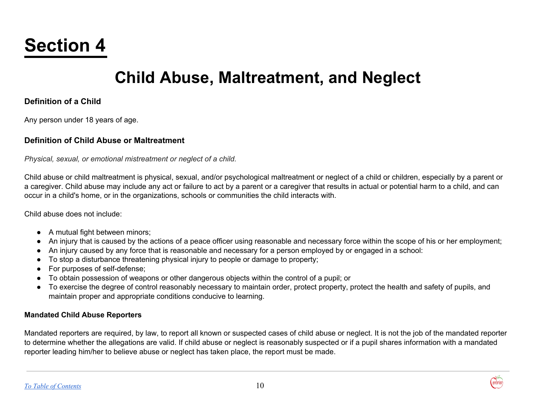# <span id="page-10-0"></span>**Section 4**

## **Child Abuse, Maltreatment, and Neglect**

### **Definition of a Child**

Any person under 18 years of age.

#### **Definition of Child Abuse or Maltreatment**

*Physical, sexual, or emotional mistreatment or neglect of a child.*

Child abuse or child maltreatment is physical, sexual, and/or psychological maltreatment or neglect of a child or children, especially by a parent or a caregiver. Child abuse may include any act or failure to act by a parent or a caregiver that results in actual or potential harm to a child, and can occur in a child's home, or in the organizations, schools or communities the child interacts with.

Child abuse does not include:

- A mutual fight between minors;
- An injury that is caused by the actions of a peace officer using reasonable and necessary force within the scope of his or her employment;
- An injury caused by any force that is reasonable and necessary for a person employed by or engaged in a school:
- To stop a disturbance threatening physical injury to people or damage to property;
- For purposes of self-defense;
- To obtain possession of weapons or other dangerous objects within the control of a pupil; or
- To exercise the degree of control reasonably necessary to maintain order, protect property, protect the health and safety of pupils, and maintain proper and appropriate conditions conducive to learning.

#### **Mandated Child Abuse Reporters**

Mandated reporters are required, by law, to report all known or suspected cases of child abuse or neglect. It is not the job of the mandated reporter to determine whether the allegations are valid. If child abuse or neglect is reasonably suspected or if a pupil shares information with a mandated reporter leading him/her to believe abuse or neglect has taken place, the report must be made.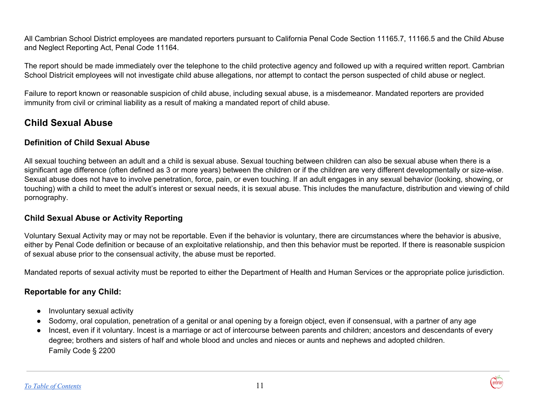All Cambrian School District employees are mandated reporters pursuant to California Penal Code Section 11165.7, 11166.5 and the Child Abuse and Neglect Reporting Act, Penal Code 11164.

The report should be made immediately over the telephone to the child protective agency and followed up with a required written report. Cambrian School Districit employees will not investigate child abuse allegations, nor attempt to contact the person suspected of child abuse or neglect.

Failure to report known or reasonable suspicion of child abuse, including sexual abuse, is a misdemeanor. Mandated reporters are provided immunity from civil or criminal liability as a result of making a mandated report of child abuse.

## **Child Sexual Abuse**

#### **Definition of Child Sexual Abuse**

All sexual touching between an adult and a child is sexual abuse. Sexual touching between children can also be sexual abuse when there is a significant age difference (often defined as 3 or more years) between the children or if the children are very different developmentally or size-wise. Sexual abuse does not have to involve penetration, force, pain, or even touching. If an adult engages in any sexual behavior (looking, showing, or touching) with a child to meet the adult's interest or sexual needs, it is sexual abuse. This includes the manufacture, distribution and viewing of child pornography.

### **Child Sexual Abuse or Activity Reporting**

Voluntary Sexual Activity may or may not be reportable. Even if the behavior is voluntary, there are circumstances where the behavior is abusive, either by Penal Code definition or because of an exploitative relationship, and then this behavior must be reported. If there is reasonable suspicion of sexual abuse prior to the consensual activity, the abuse must be reported.

Mandated reports of sexual activity must be reported to either the Department of Health and Human Services or the appropriate police jurisdiction.

### **Reportable for any Child:**

- Involuntary sexual activity
- Sodomy, oral copulation, penetration of a genital or anal opening by a foreign object, even if consensual, with a partner of any age
- Incest, even if it voluntary. Incest is a marriage or act of intercourse between parents and children; ancestors and descendants of every degree; brothers and sisters of half and whole blood and uncles and nieces or aunts and nephews and adopted children. Family Code § 2200

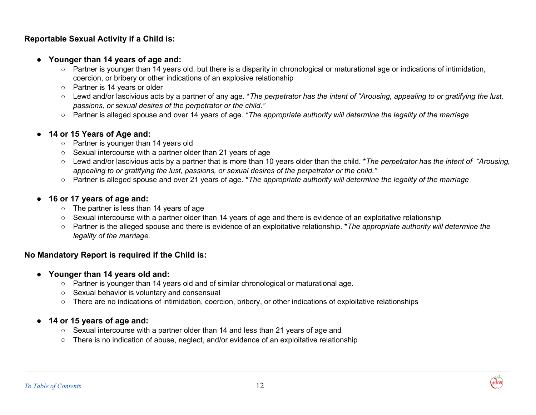### **Reportable Sexual Activity if a Child is:**

- **● Younger than 14 years of age and:**
	- Partner is younger than 14 years old, but there is a disparity in chronological or maturational age or indications of intimidation, coercion, or bribery or other indications of an explosive relationship
	- Partner is 14 years or older
	- o Lewd and/or lascivious acts by a partner of any age. \*The perpetrator has the intent of "Arousing, appealing to or gratifying the lust, *passions, or sexual desires of the perpetrator or the child."*
	- Partner is alleged spouse and over 14 years of age. \**The appropriate authority will determine the legality of the marriage*

#### ● **14 or 15 Years of Age and:**

- Partner is younger than 14 years old
- Sexual intercourse with a partner older than 21 years of age
- Lewd and/or lascivious acts by a partner that is more than 10 years older than the child. \**The perpetrator has the intent of "Arousing, appealing to or gratifying the lust, passions, or sexual desires of the perpetrator or the child."*
- Partner is alleged spouse and over 21 years of age. \**The appropriate authority will determine the legality of the marriage*

#### ● **16 or 17 years of age and:**

- The partner is less than 14 years of age
- Sexual intercourse with a partner older than 14 years of age and there is evidence of an exploitative relationship
- Partner is the alleged spouse and there is evidence of an exploitative relationship. \**The appropriate authority will determine the legality of the marriage.*

### **No Mandatory Report is required if the Child is:**

- **● Younger than 14 years old and:**
	- **○** Partner is younger than 14 years old and of similar chronological or maturational age.
	- **○** Sexual behavior is voluntary and consensual
	- **○** There are no indications of intimidation, coercion, bribery, or other indications of exploitative relationships

#### **● 14 or 15 years of age and:**

- **○** Sexual intercourse with a partner older than 14 and less than 21 years of age and
- **○** There is no indication of abuse, neglect, and/or evidence of an exploitative relationship

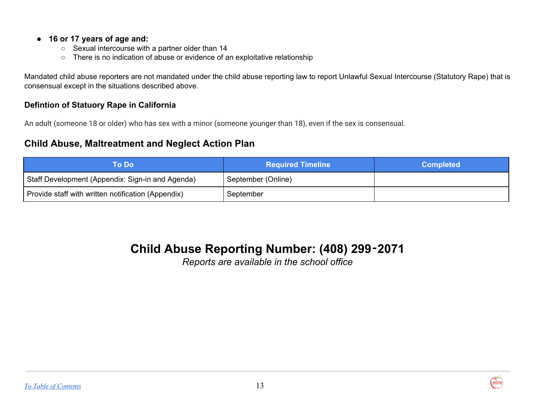#### **● 16 or 17 years of age and:**

- **○** Sexual intercourse with a partner older than 14
- **○** There is no indication of abuse or evidence of an exploitative relationship

Mandated child abuse reporters are not mandated under the child abuse reporting law to report Unlawful Sexual Intercourse (Statutory Rape) that is consensual except in the situations described above.

### **Defintion of Statuory Rape in California**

An adult (someone 18 or older) who has sex with a minor (someone younger than 18), even if the sex is consensual.

## **Child Abuse, Maltreatment and Neglect Action Plan**

| To Do l                                            | <b>Required Timeline</b> | <b>Completed</b> |
|----------------------------------------------------|--------------------------|------------------|
| Staff Development (Appendix: Sign-in and Agenda)   | September (Online)       |                  |
| Provide staff with written notification (Appendix) | September                |                  |

## **Child Abuse Reporting Number: (408) 299**‑**2071**

*Reports are available in the school office*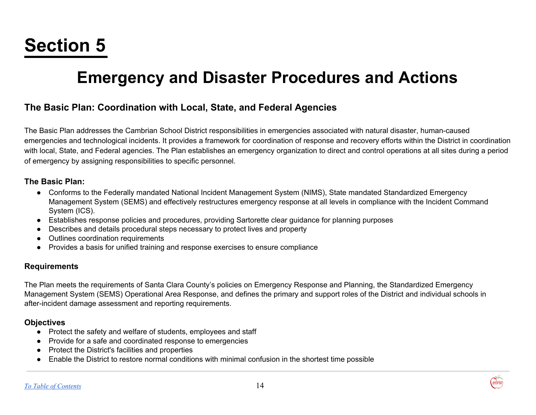# <span id="page-14-0"></span>**Section 5**

## **Emergency and Disaster Procedures and Actions**

## <span id="page-14-1"></span>**The Basic Plan: Coordination with Local, State, and Federal Agencies**

The Basic Plan addresses the Cambrian School District responsibilities in emergencies associated with natural disaster, human-caused emergencies and technological incidents. It provides a framework for coordination of response and recovery efforts within the District in coordination with local, State, and Federal agencies. The Plan establishes an emergency organization to direct and control operations at all sites during a period of emergency by assigning responsibilities to specific personnel.

#### **The Basic Plan:**

- Conforms to the Federally mandated National Incident Management System (NIMS), State mandated Standardized Emergency Management System (SEMS) and effectively restructures emergency response at all levels in compliance with the Incident Command System (ICS).
- Establishes response policies and procedures, providing Sartorette clear guidance for planning purposes
- Describes and details procedural steps necessary to protect lives and property
- Outlines coordination requirements
- Provides a basis for unified training and response exercises to ensure compliance

#### **Requirements**

The Plan meets the requirements of Santa Clara County's policies on Emergency Response and Planning, the Standardized Emergency Management System (SEMS) Operational Area Response, and defines the primary and support roles of the District and individual schools in after-incident damage assessment and reporting requirements.

### **Objectives**

- Protect the safety and welfare of students, employees and staff
- Provide for a safe and coordinated response to emergencies
- Protect the District's facilities and properties
- Enable the District to restore normal conditions with minimal confusion in the shortest time possible

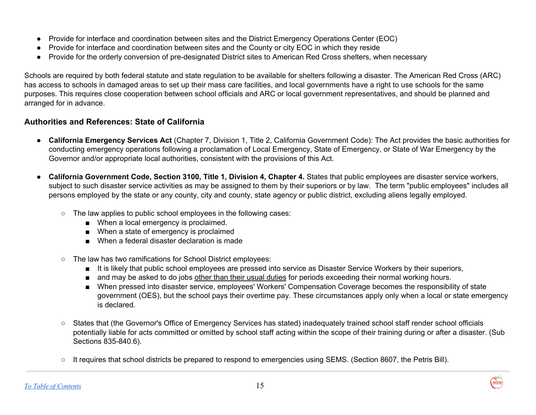- Provide for interface and coordination between sites and the District Emergency Operations Center (EOC)
- Provide for interface and coordination between sites and the County or city EOC in which they reside
- Provide for the orderly conversion of pre-designated District sites to American Red Cross shelters, when necessary

Schools are required by both federal statute and state regulation to be available for shelters following a disaster. The American Red Cross (ARC) has access to schools in damaged areas to set up their mass care facilities, and local governments have a right to use schools for the same purposes. This requires close cooperation between school officials and ARC or local government representatives, and should be planned and arranged for in advance.

### **Authorities and References: State of California**

- **California Emergency Services Act** (Chapter 7, Division 1, Title 2, California Government Code): The Act provides the basic authorities for conducting emergency operations following a proclamation of Local Emergency, State of Emergency, or State of War Emergency by the Governor and/or appropriate local authorities, consistent with the provisions of this Act.
- **● California Government Code, Section 3100, Title 1, Division 4, Chapter 4.** States that public employees are disaster service workers, subject to such disaster service activities as may be assigned to them by their superiors or by law. The term "public employees" includes all persons employed by the state or any county, city and county, state agency or public district, excluding aliens legally employed.
	- **○** The law applies to public school employees in the following cases:
		- When a local emergency is proclaimed.
		- When a state of emergency is proclaimed
		- When a federal disaster declaration is made
	- The law has two ramifications for School District employees:
		- It is likely that public school employees are pressed into service as Disaster Service Workers by their superiors,
		- and may be asked to do jobs other than their usual duties for periods exceeding their normal working hours.
		- When pressed into disaster service, employees' Workers' Compensation Coverage becomes the responsibility of state government (OES), but the school pays their overtime pay. These circumstances apply only when a local or state emergency is declared.
	- States that (the Governor's Office of Emergency Services has stated) inadequately trained school staff render school officials potentially liable for acts committed or omitted by school staff acting within the scope of their training during or after a disaster. (Sub Sections 835-840.6).
	- It requires that school districts be prepared to respond to emergencies using SEMS. (Section 8607, the Petris Bill).

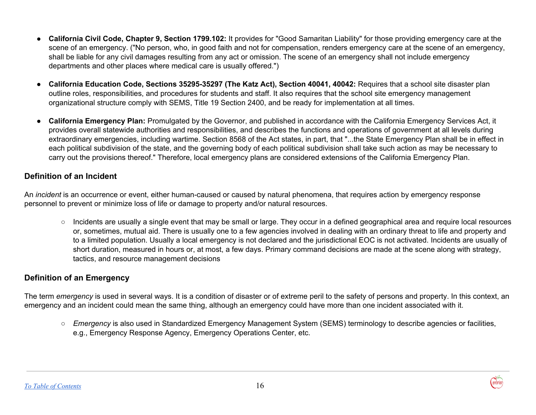- **California Civil Code, Chapter 9, Section 1799.102:** It provides for "Good Samaritan Liability" for those providing emergency care at the scene of an emergency. ("No person, who, in good faith and not for compensation, renders emergency care at the scene of an emergency, shall be liable for any civil damages resulting from any act or omission. The scene of an emergency shall not include emergency departments and other places where medical care is usually offered.")
- **California Education Code, Sections 35295-35297 (The Katz Act), Section 40041, 40042:** Requires that a school site disaster plan outline roles, responsibilities, and procedures for students and staff. It also requires that the school site emergency management organizational structure comply with SEMS, Title 19 Section 2400, and be ready for implementation at all times.
- **California Emergency Plan:** Promulgated by the Governor, and published in accordance with the California Emergency Services Act, it provides overall statewide authorities and responsibilities, and describes the functions and operations of government at all levels during extraordinary emergencies, including wartime. Section 8568 of the Act states, in part, that "...the State Emergency Plan shall be in effect in each political subdivision of the state, and the governing body of each political subdivision shall take such action as may be necessary to carry out the provisions thereof." Therefore, local emergency plans are considered extensions of the California Emergency Plan.

#### **Definition of an Incident**

An *incident* is an occurrence or event, either human-caused or caused by natural phenomena, that requires action by emergency response personnel to prevent or minimize loss of life or damage to property and/or natural resources.

○ Incidents are usually a single event that may be small or large. They occur in a defined geographical area and require local resources or, sometimes, mutual aid. There is usually one to a few agencies involved in dealing with an ordinary threat to life and property and to a limited population. Usually a local emergency is not declared and the jurisdictional EOC is not activated. Incidents are usually of short duration, measured in hours or, at most, a few days. Primary command decisions are made at the scene along with strategy, tactics, and resource management decisions

### **Definition of an Emergency**

The term *emergency* is used in several ways. It is a condition of disaster or of extreme peril to the safety of persons and property. In this context, an emergency and an incident could mean the same thing, although an emergency could have more than one incident associated with it.

○ *Emergency* is also used in Standardized Emergency Management System (SEMS) terminology to describe agencies or facilities, e.g., Emergency Response Agency, Emergency Operations Center, etc.

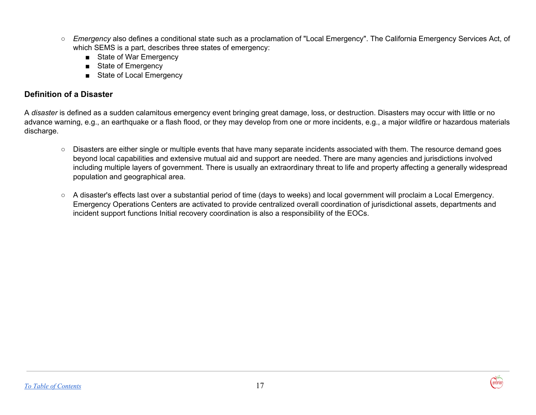- *Emergency* also defines a conditional state such as a proclamation of "Local Emergency". The California Emergency Services Act, of which SEMS is a part, describes three states of emergency:
	- State of War Emergency
	- State of Emergency
	- State of Local Emergency

## **Definition of a Disaster**

A *disaster* is defined as a sudden calamitous emergency event bringing great damage, loss, or destruction. Disasters may occur with little or no advance warning, e.g., an earthquake or a flash flood, or they may develop from one or more incidents, e.g., a major wildfire or hazardous materials discharge.

- Disasters are either single or multiple events that have many separate incidents associated with them. The resource demand goes beyond local capabilities and extensive mutual aid and support are needed. There are many agencies and jurisdictions involved including multiple layers of government. There is usually an extraordinary threat to life and property affecting a generally widespread population and geographical area.
- A disaster's effects last over a substantial period of time (days to weeks) and local government will proclaim a Local Emergency. Emergency Operations Centers are activated to provide centralized overall coordination of jurisdictional assets, departments and incident support functions Initial recovery coordination is also a responsibility of the EOCs.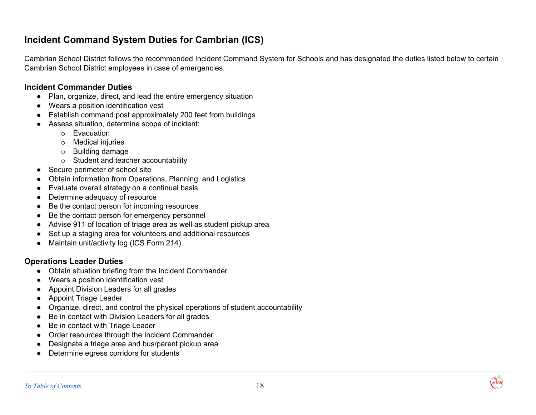## <span id="page-18-0"></span>**Incident Command System Duties for Cambrian (ICS)**

Cambrian School District follows the recommended Incident Command System for Schools and has designated the duties listed below to certain Cambrian School District employees in case of emergencies.

#### **Incident Commander Duties**

- Plan, organize, direct, and lead the entire emergency situation
- Wears a position identification vest
- Establish command post approximately 200 feet from buildings
- Assess situation, determine scope of incident:
	- o Evacuation
	- o Medical injuries
	- o Building damage
	- o Student and teacher accountability
- Secure perimeter of school site
- Obtain information from Operations, Planning, and Logistics
- Evaluate overall strategy on a continual basis
- Determine adequacy of resource
- Be the contact person for incoming resources
- Be the contact person for emergency personnel
- Advise 911 of location of triage area as well as student pickup area
- Set up a staging area for volunteers and additional resources
- Maintain unit/activity log (ICS Form 214)

## **Operations Leader Duties**

- Obtain situation briefing from the Incident Commander
- Wears a position identification vest
- Appoint Division Leaders for all grades
- Appoint Triage Leader
- Organize, direct, and control the physical operations of student accountability
- Be in contact with Division Leaders for all grades
- Be in contact with Triage Leader
- Order resources through the Incident Commander
- Designate a triage area and bus/parent pickup area
- Determine egress corridors for students

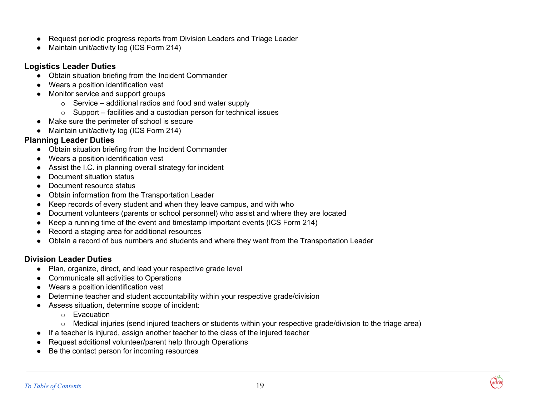- Request periodic progress reports from Division Leaders and Triage Leader
- Maintain unit/activity log (ICS Form 214)

#### **Logistics Leader Duties**

- Obtain situation briefing from the Incident Commander
- Wears a position identification vest
- Monitor service and support groups
	- $\circ$  Service additional radios and food and water supply
	- $\circ$  Support facilities and a custodian person for technical issues
- Make sure the perimeter of school is secure
- Maintain unit/activity log (ICS Form 214)

#### **Planning Leader Duties**

- Obtain situation briefing from the Incident Commander
- Wears a position identification vest
- Assist the I.C. in planning overall strategy for incident
- Document situation status
- Document resource status
- Obtain information from the Transportation Leader
- Keep records of every student and when they leave campus, and with who
- Document volunteers (parents or school personnel) who assist and where they are located
- Keep a running time of the event and timestamp important events (ICS Form 214)
- Record a staging area for additional resources
- Obtain a record of bus numbers and students and where they went from the Transportation Leader

### **Division Leader Duties**

- Plan, organize, direct, and lead your respective grade level
- Communicate all activities to Operations
- Wears a position identification vest
- Determine teacher and student accountability within your respective grade/division
- Assess situation, determine scope of incident:
	- o Evacuation
	- o Medical injuries (send injured teachers or students within your respective grade/division to the triage area)
- If a teacher is injured, assign another teacher to the class of the injured teacher
- Request additional volunteer/parent help through Operations
- Be the contact person for incoming resources

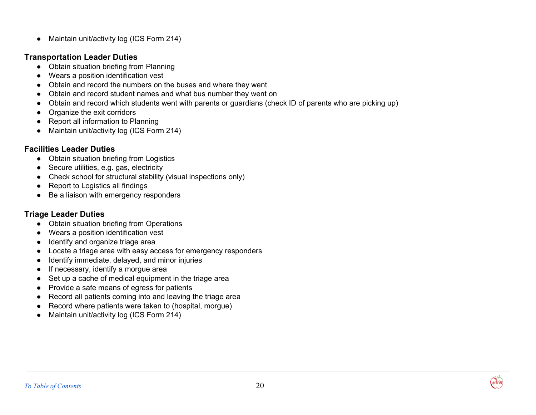● Maintain unit/activity log (ICS Form 214)

#### **Transportation Leader Duties**

- Obtain situation briefing from Planning
- Wears a position identification vest
- Obtain and record the numbers on the buses and where they went
- Obtain and record student names and what bus number they went on
- Obtain and record which students went with parents or guardians (check ID of parents who are picking up)
- Organize the exit corridors
- Report all information to Planning
- Maintain unit/activity log (ICS Form 214)

#### **Facilities Leader Duties**

- Obtain situation briefing from Logistics
- Secure utilities, e.g. gas, electricity
- Check school for structural stability (visual inspections only)
- Report to Logistics all findings
- Be a liaison with emergency responders

### **Triage Leader Duties**

- Obtain situation briefing from Operations
- Wears a position identification vest
- Identify and organize triage area
- Locate a triage area with easy access for emergency responders
- Identify immediate, delayed, and minor injuries
- If necessary, identify a morgue area
- Set up a cache of medical equipment in the triage area
- Provide a safe means of egress for patients
- Record all patients coming into and leaving the triage area
- Record where patients were taken to (hospital, morgue)
- Maintain unit/activity log (ICS Form 214)

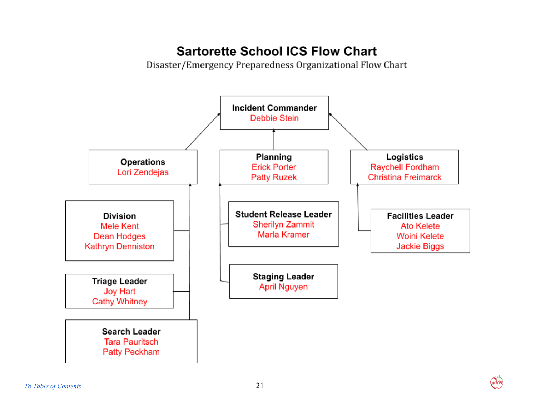## **Sartorette School ICS Flow Chart**

Disaster/Emergency Preparedness Organizational Flow Chart

<span id="page-21-0"></span>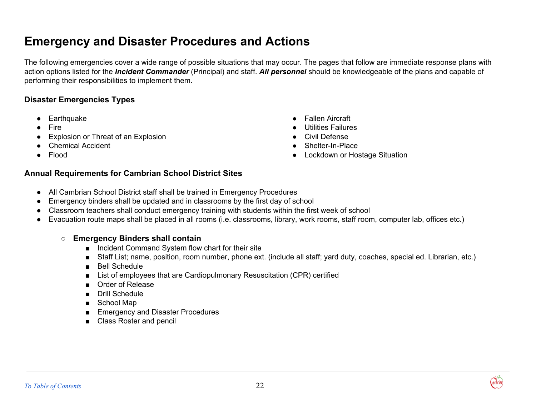## <span id="page-22-0"></span>**Emergency and Disaster Procedures and Actions**

The following emergencies cover a wide range of possible situations that may occur. The pages that follow are immediate response plans with action options listed for the *Incident Commander* (Principal) and staff. *All personnel* should be knowledgeable of the plans and capable of performing their responsibilities to implement them.

#### **Disaster Emergencies Types**

- Earthquake
- Fire
- **Explosion or Threat of an Explosion**
- Chemical Accident
- Flood
- Fallen Aircraft
- Utilities Failures
- Civil Defense
- Shelter-In-Place
- Lockdown or Hostage Situation

#### **Annual Requirements for Cambrian School District Sites**

- All Cambrian School District staff shall be trained in Emergency Procedures
- Emergency binders shall be updated and in classrooms by the first day of school
- Classroom teachers shall conduct emergency training with students within the first week of school
- Evacuation route maps shall be placed in all rooms (i.e. classrooms, library, work rooms, staff room, computer lab, offices etc.)

#### **○ Emergency Binders shall contain**

- Incident Command System flow chart for their site
- Staff List; name, position, room number, phone ext. (include all staff; yard duty, coaches, special ed. Librarian, etc.)
- Bell Schedule
- List of employees that are Cardiopulmonary Resuscitation (CPR) certified
- Order of Release
- Drill Schedule
- School Map
- Emergency and Disaster Procedures
- Class Roster and pencil

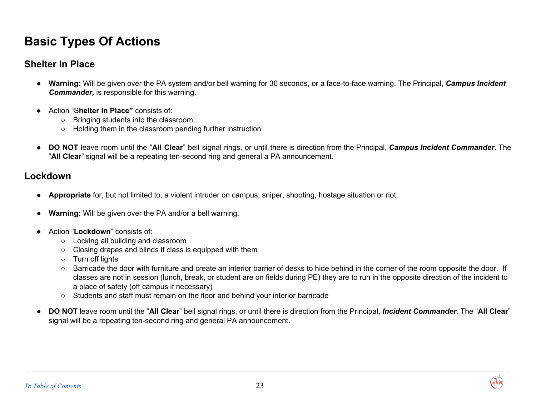## **Basic Types Of Actions**

## **Shelter In Place**

- **● Warning:** Will be given over the PA system and/or bell warning for 30 seconds, or a face-to-face warning. The Principal, *Campus Incident Commander,* is responsible for this warning.
- Action "S**helter In Place"** consists of:
	- Bringing students into the classroom
	- Holding them in the classroom pending further instruction
- **DO NOT** leave room until the "**All Clear**" bell signal rings, or until there is direction from the Principal, *Campus Incident Commander*. The "**All Clear**" signal will be a repeating ten-second ring and general a PA announcement.

## **Lockdown**

- **● Appropriate** for, but not limited to, a violent intruder on campus, sniper, shooting, hostage situation or riot
- **● Warning:** Will be given over the PA and/or a bell warning.
- **●** Action "**Lockdown**" consists of:
	- **○** Locking all building and classroom
	- **○** Closing drapes and blinds if class is equipped with them
	- **○** Turn off lights
	- **○** Barricade the door with furniture and create an interior barrier of desks to hide behind in the corner of the room opposite the door. If classes are not in session (lunch, break, or student are on fields during PE) they are to run in the opposite direction of the incident to a place of safety (off campus if necessary)
	- **○** Students and staff must remain on the floor and behind your interior barricade
- **DO NOT** leave room until the "**All Clear**" bell signal rings, or until there is direction from the Principal, *Incident Commander*. The "**All Clear**" signal will be a repeating ten-second ring and general PA announcement.

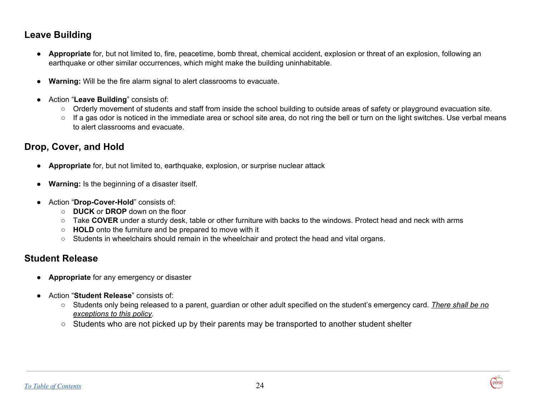## **Leave Building**

- **● Appropriate** for, but not limited to, fire, peacetime, bomb threat, chemical accident, explosion or threat of an explosion, following an earthquake or other similar occurrences, which might make the building uninhabitable.
- **● Warning:** Will be the fire alarm signal to alert classrooms to evacuate.
- Action "**Leave Building**" consists of:
	- Orderly movement of students and staff from inside the school building to outside areas of safety or playground evacuation site.
	- If a gas odor is noticed in the immediate area or school site area, do not ring the bell or turn on the light switches. Use verbal means to alert classrooms and evacuate.

## **Drop, Cover, and Hold**

- **● Appropriate** for, but not limited to, earthquake, explosion, or surprise nuclear attack
- **● Warning:** Is the beginning of a disaster itself.
- Action "**Drop-Cover-Hold**" consists of:
	- **DUCK** or **DROP** down on the floor
	- Take **COVER** under a sturdy desk, table or other furniture with backs to the windows. Protect head and neck with arms
	- **HOLD** onto the furniture and be prepared to move with it
	- **○** Students in wheelchairs should remain in the wheelchair and protect the head and vital organs.

## **Student Release**

- **● Appropriate** for any emergency or disaster
- **●** Action "**Student Release**" consists of:
	- **○** Students only being released to a parent, guardian or other adult specified on the student's emergency card. *There shall be no exceptions to this policy*.
	- $\circ$  Students who are not picked up by their parents may be transported to another student shelter

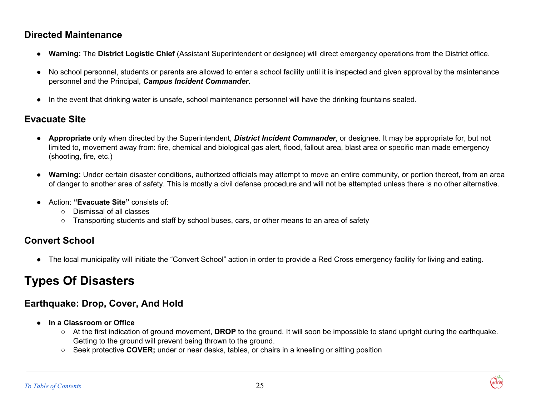## **Directed Maintenance**

- **Warning:** The **District Logistic Chief** (Assistant Superintendent or designee) will direct emergency operations from the District office.
- No school personnel, students or parents are allowed to enter a school facility until it is inspected and given approval by the maintenance personnel and the Principal, *Campus Incident Commander.*
- In the event that drinking water is unsafe, school maintenance personnel will have the drinking fountains sealed.

## **Evacuate Site**

- **Appropriate** only when directed by the Superintendent, *District Incident Commander*, or designee. It may be appropriate for, but not limited to, movement away from: fire, chemical and biological gas alert, flood, fallout area, blast area or specific man made emergency (shooting, fire, etc.)
- **Warning:** Under certain disaster conditions, authorized officials may attempt to move an entire community, or portion thereof, from an area of danger to another area of safety. This is mostly a civil defense procedure and will not be attempted unless there is no other alternative.
- Action: **"Evacuate Site"** consists of:
	- Dismissal of all classes
	- Transporting students and staff by school buses, cars, or other means to an area of safety

## **Convert School**

**●** The local municipality will initiate the "Convert School" action in order to provide a Red Cross emergency facility for living and eating.

## **Types Of Disasters**

## **Earthquake: Drop, Cover, And Hold**

- **● In a Classroom or Office**
	- At the first indication of ground movement, **DROP** to the ground. It will soon be impossible to stand upright during the earthquake. Getting to the ground will prevent being thrown to the ground.
	- Seek protective **COVER;** under or near desks, tables, or chairs in a kneeling or sitting position

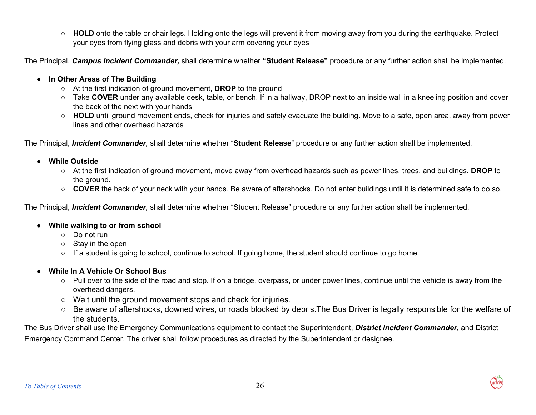○ **HOLD** onto the table or chair legs. Holding onto the legs will prevent it from moving away from you during the earthquake. Protect your eyes from flying glass and debris with your arm covering your eyes

The Principal, *Campus Incident Commander,* shall determine whether **"Student Release"** procedure or any further action shall be implemented.

#### **● In Other Areas of The Building**

- **○** At the first indication of ground movement, **DROP** to the ground
- **○** Take **COVER** under any available desk, table, or bench. If in a hallway, DROP next to an inside wall in a kneeling position and cover the back of the next with your hands
- **○ HOLD** until ground movement ends, check for injuries and safely evacuate the building. Move to a safe, open area, away from power lines and other overhead hazards

The Principal, *Incident Commander,* shall determine whether "**Student Release**" procedure or any further action shall be implemented.

- **● While Outside**
	- **○** At the first indication of ground movement, move away from overhead hazards such as power lines, trees, and buildings. **DROP** to the ground.
	- **○ COVER** the back of your neck with your hands. Be aware of aftershocks. Do not enter buildings until it is determined safe to do so.

The Principal, *Incident Commander,* shall determine whether "Student Release" procedure or any further action shall be implemented.

#### ● **While walking to or from school**

- Do not run
- Stay in the open
- If a student is going to school, continue to school. If going home, the student should continue to go home.

#### **● While In A Vehicle Or School Bus**

- **○** Pull over to the side of the road and stop. If on a bridge, overpass, or under power lines, continue until the vehicle is away from the overhead dangers.
- **○** Wait until the ground movement stops and check for injuries.
- **○** Be aware of aftershocks, downed wires, or roads blocked by debris.The Bus Driver is legally responsible for the welfare of the students.

The Bus Driver shall use the Emergency Communications equipment to contact the Superintendent, *District Incident Commander,* and District Emergency Command Center. The driver shall follow procedures as directed by the Superintendent or designee.

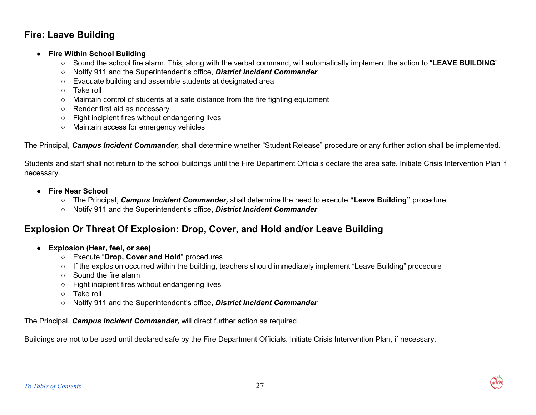## **Fire: Leave Building**

#### **● Fire Within School Building**

- **○** Sound the school fire alarm. This, along with the verbal command, will automatically implement the action to "**LEAVE BUILDING**"
- **○** Notify 911 and the Superintendent's office, *District Incident Commander*
- **○** Evacuate building and assemble students at designated area
- **○** Take roll
- **○** Maintain control of students at a safe distance from the fire fighting equipment
- **○** Render first aid as necessary
- **○** Fight incipient fires without endangering lives
- **○** Maintain access for emergency vehicles

The Principal, *Campus Incident Commander,* shall determine whether "Student Release" procedure or any further action shall be implemented.

Students and staff shall not return to the school buildings until the Fire Department Officials declare the area safe. Initiate Crisis Intervention Plan if necessary.

- **● Fire Near School**
	- **○** The Principal, *Campus Incident Commander,* shall determine the need to execute **"Leave Building"** procedure.
	- **○** Notify 911 and the Superintendent's office, *District Incident Commander*

## **Explosion Or Threat Of Explosion: Drop, Cover, and Hold and/or Leave Building**

- **● Explosion (Hear, feel, or see)**
	- **○** Execute "**Drop, Cover and Hold**" procedures
	- **○** If the explosion occurred within the building, teachers should immediately implement "Leave Building" procedure
	- **○** Sound the fire alarm
	- **○** Fight incipient fires without endangering lives
	- **○** Take roll
	- **○** Notify 911 and the Superintendent's office, *District Incident Commander*

The Principal, *Campus Incident Commander,* will direct further action as required.

Buildings are not to be used until declared safe by the Fire Department Officials. Initiate Crisis Intervention Plan, if necessary.

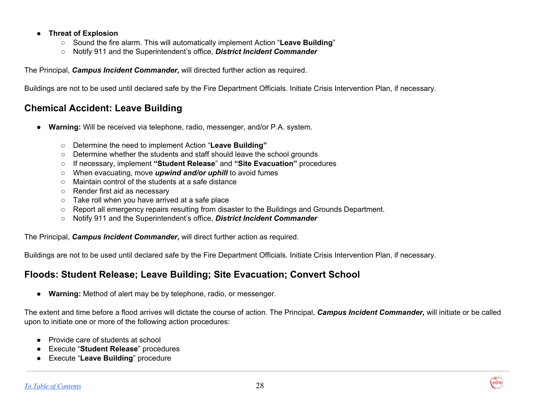#### **● Threat of Explosion**

- **○** Sound the fire alarm. This will automatically implement Action "**Leave Building**"
- **○** Notify 911 and the Superintendent's office, *District Incident Commander*

The Principal, *Campus Incident Commander,* will directed further action as required.

Buildings are not to be used until declared safe by the Fire Department Officials. Initiate Crisis Intervention Plan, if necessary.

## **Chemical Accident: Leave Building**

- **Warning:** Will be received via telephone, radio, messenger, and/or P.A. system.
	- Determine the need to implement Action "**Leave Building"**
	- Determine whether the students and staff should leave the school grounds
	- If necessary, implement **"Student Release**" and **"Site Evacuation"** procedures
	- When evacuating, move *upwind and/or uphill* to avoid fumes
	- Maintain control of the students at a safe distance
	- Render first aid as necessary
	- Take roll when you have arrived at a safe place
	- Report all emergency repairs resulting from disaster to the Buildings and Grounds Department.
	- Notify 911 and the Superintendent's office, *District Incident Commander*

The Principal, *Campus Incident Commander***,** will direct further action as required.

Buildings are not to be used until declared safe by the Fire Department Officials. Initiate Crisis Intervention Plan, if necessary.

## **Floods: Student Release; Leave Building; Site Evacuation; Convert School**

● **Warning:** Method of alert may be by telephone, radio, or messenger.

The extent and time before a flood arrives will dictate the course of action. The Principal, *Campus Incident Commander,* will initiate or be called upon to initiate one or more of the following action procedures:

- Provide care of students at school
- Execute "**Student Release**" procedures
- Execute "**Leave Building**" procedure

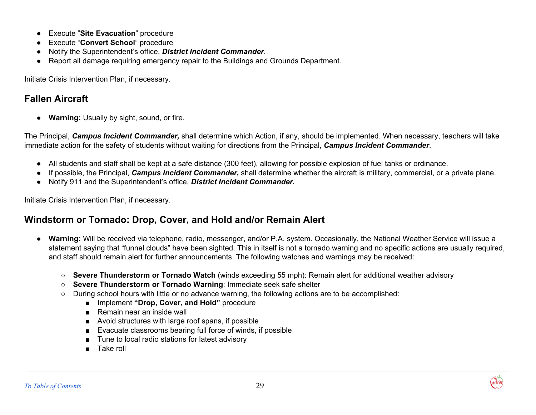- Execute "**Site Evacuation**" procedure
- Execute "**Convert School**" procedure
- Notify the Superintendent's office, *District Incident Commander*.
- Report all damage requiring emergency repair to the Buildings and Grounds Department.

Initiate Crisis Intervention Plan, if necessary.

## **Fallen Aircraft**

● **Warning:** Usually by sight, sound, or fire.

The Principal, *Campus Incident Commander,* shall determine which Action, if any, should be implemented. When necessary, teachers will take immediate action for the safety of students without waiting for directions from the Principal, *Campus Incident Commander*.

- All students and staff shall be kept at a safe distance (300 feet), allowing for possible explosion of fuel tanks or ordinance.
- If possible, the Principal, *Campus Incident Commander,* shall determine whether the aircraft is military, commercial, or a private plane.
- Notify 911 and the Superintendent's office, *District Incident Commander.*

Initiate Crisis Intervention Plan, if necessary.

## **Windstorm or Tornado: Drop, Cover, and Hold and/or Remain Alert**

- **Warning:** Will be received via telephone, radio, messenger, and/or P.A. system. Occasionally, the National Weather Service will issue a statement saying that "funnel clouds" have been sighted. This in itself is not a tornado warning and no specific actions are usually required, and staff should remain alert for further announcements. The following watches and warnings may be received:
	- **Severe Thunderstorm or Tornado Watch** (winds exceeding 55 mph): Remain alert for additional weather advisory
	- **Severe Thunderstorm or Tornado Warning**: Immediate seek safe shelter
	- During school hours with little or no advance warning, the following actions are to be accomplished:
		- Implement **"Drop, Cover, and Hold"** procedure
		- Remain near an inside wall
		- Avoid structures with large roof spans, if possible
		- Evacuate classrooms bearing full force of winds, if possible
		- Tune to local radio stations for latest advisory
		- Take roll

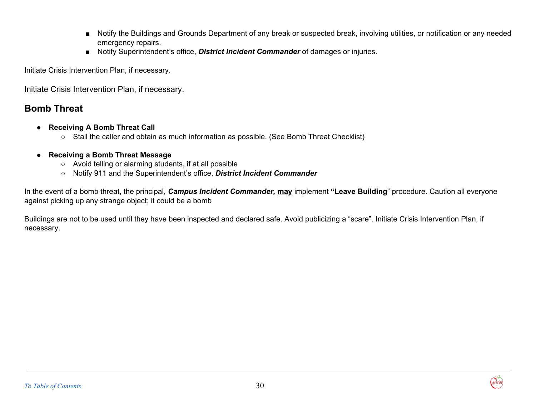- Notify the Buildings and Grounds Department of any break or suspected break, involving utilities, or notification or any needed emergency repairs.
- Notify Superintendent's office, **District Incident Commander** of damages or injuries.

Initiate Crisis Intervention Plan, if necessary.

Initiate Crisis Intervention Plan, if necessary.

## **Bomb Threat**

- **● Receiving A Bomb Threat Call**
	- **○** Stall the caller and obtain as much information as possible. (See Bomb Threat Checklist)
- **● Receiving a Bomb Threat Message**
	- **○** Avoid telling or alarming students, if at all possible
	- **○** Notify 911 and the Superintendent's office, *District Incident Commander*

In the event of a bomb threat, the principal, *Campus Incident Commander,* **may** implement **"Leave Building**" procedure. Caution all everyone against picking up any strange object; it could be a bomb

Buildings are not to be used until they have been inspected and declared safe. Avoid publicizing a "scare". Initiate Crisis Intervention Plan, if necessary.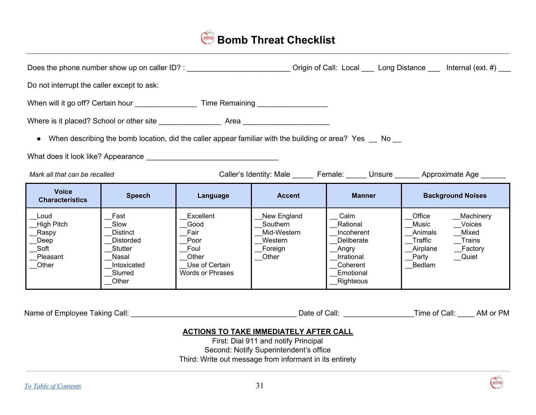## <span id="page-31-0"></span>**Bomb Threat Checklist**

|                                                                          |                                                                                                            | Does the phone number show up on caller ID? : __________________________________                |                                                                                                           |                                                                                                            | Origin of Call: Local ____ Long Distance ____ Internal (ext. #) ___                                                                  |
|--------------------------------------------------------------------------|------------------------------------------------------------------------------------------------------------|-------------------------------------------------------------------------------------------------|-----------------------------------------------------------------------------------------------------------|------------------------------------------------------------------------------------------------------------|--------------------------------------------------------------------------------------------------------------------------------------|
| Do not interrupt the caller except to ask:                               |                                                                                                            |                                                                                                 |                                                                                                           |                                                                                                            |                                                                                                                                      |
|                                                                          |                                                                                                            |                                                                                                 | When will it go off? Certain hour ________________________ Time Remaining __________________________      |                                                                                                            |                                                                                                                                      |
|                                                                          |                                                                                                            |                                                                                                 |                                                                                                           |                                                                                                            |                                                                                                                                      |
| $\bullet$                                                                |                                                                                                            |                                                                                                 | When describing the bomb location, did the caller appear familiar with the building or area? Yes __ No __ |                                                                                                            |                                                                                                                                      |
|                                                                          |                                                                                                            |                                                                                                 |                                                                                                           |                                                                                                            |                                                                                                                                      |
| Mark all that can be recalled                                            |                                                                                                            |                                                                                                 |                                                                                                           |                                                                                                            | Caller's Identity: Male _______ Female: ______ Unsure _______ Approximate Age ______                                                 |
| <b>Voice</b><br><b>Characteristics</b>                                   | <b>Speech</b>                                                                                              | Language                                                                                        | <b>Accent</b>                                                                                             | <b>Manner</b>                                                                                              | <b>Background Noises</b>                                                                                                             |
| Loud<br><b>High Pitch</b><br>_Raspy<br>Deep<br>Soft<br>Pleasant<br>Other | Fast<br>Slow<br><b>Distinct</b><br><b>Distorded</b><br>Stutter<br>Nasal<br>Intoxicated<br>Slurred<br>Other | Excellent<br>Good<br>Fair<br>Poor<br>Foul<br>Other<br>Use of Certain<br><b>Words or Phrases</b> | New England<br>Southern<br>Mid-Western<br>Western<br>Foreign<br>Other                                     | Calm<br>Rational<br>Incoherent<br>Deliberate<br>_Angry<br>Irrational<br>Coherent<br>Emotional<br>Righteous | Office<br>Machinery<br>Music<br>Voices<br>Mixed<br>Animals<br>Traffic<br>Trains<br>Airplane<br>Factory<br>Party<br>__Quiet<br>Bedlam |
|                                                                          |                                                                                                            |                                                                                                 |                                                                                                           |                                                                                                            |                                                                                                                                      |

#### **ACTIONS TO TAKE IMMEDIATELY AFTER CALL**

First: Dial 911 and notify Principal Second: Notify Superintendent's office Third: Write out message from informant in its entirety

**ambriary**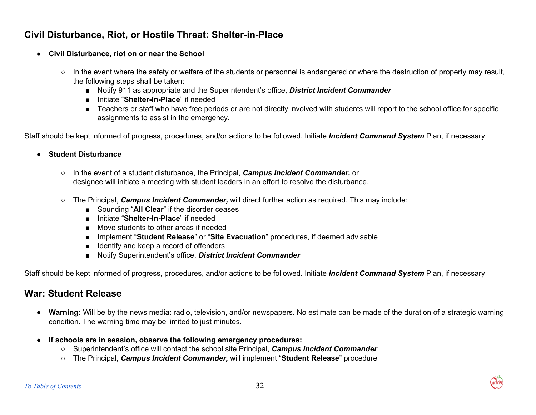## **Civil Disturbance, Riot, or Hostile Threat: Shelter-in-Place**

- **● Civil Disturbance, riot on or near the School**
	- **○** In the event where the safety or welfare of the students or personnel is endangered or where the destruction of property may result, the following steps shall be taken:
		- Notify 911 as appropriate and the Superintendent's office, **District Incident Commander**
		- **■** Initiate "**Shelter-In-Place**" if needed
		- Teachers or staff who have free periods or are not directly involved with students will report to the school office for specific assignments to assist in the emergency.

Staff should be kept informed of progress, procedures, and/or actions to be followed. Initiate *Incident Command System* Plan, if necessary.

#### **● Student Disturbance**

- **○** In the event of a student disturbance, the Principal, *Campus Incident Commander,* or designee will initiate a meeting with student leaders in an effort to resolve the disturbance.
- The Principal, *Campus Incident Commander,* will direct further action as required. This may include:
	- Sounding "**All Clear**" if the disorder ceases
	- Initiate "**Shelter-In-Place**" if needed
	- Move students to other areas if needed
	- Implement "**Student Release**" or "**Site Evacuation**" procedures, if deemed advisable
	- Identify and keep a record of offenders
	- Notify Superintendent's office, **District Incident Commander**

Staff should be kept informed of progress, procedures, and/or actions to be followed. Initiate *Incident Command System* Plan, if necessary

## **War: Student Release**

- **● Warning:** Will be by the news media: radio, television, and/or newspapers. No estimate can be made of the duration of a strategic warning condition. The warning time may be limited to just minutes.
- **● If schools are in session, observe the following emergency procedures:**
	- **○** Superintendent's office will contact the school site Principal, *Campus Incident Commander*
	- **○** The Principal, *Campus Incident Commander,* will implement "**Student Release**" procedure

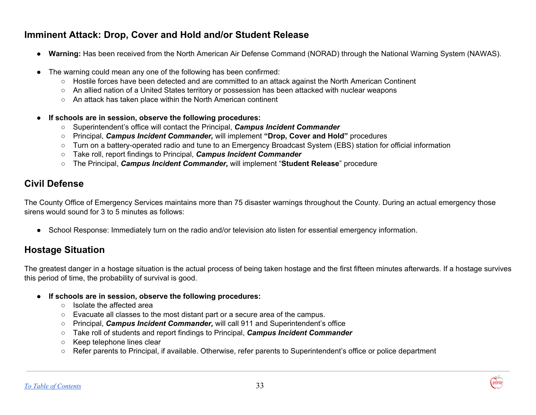## **Imminent Attack: Drop, Cover and Hold and/or Student Release**

- **Warning:** Has been received from the North American Air Defense Command (NORAD) through the National Warning System (NAWAS).
- The warning could mean any one of the following has been confirmed:
	- Hostile forces have been detected and are committed to an attack against the North American Continent
	- An allied nation of a United States territory or possession has been attacked with nuclear weapons
	- An attack has taken place within the North American continent
- **● If schools are in session, observe the following procedures:**
	- **○** Superintendent's office will contact the Principal, *Campus Incident Commander*
	- **○** Principal, *Campus Incident Commander,* will implement **"Drop, Cover and Hold"** procedures
	- **○** Turn on a battery-operated radio and tune to an Emergency Broadcast System (EBS) station for official information
	- **○** Take roll, report findings to Principal, *Campus Incident Commander*
	- **○** The Principal, *Campus Incident Commander,* will implement "**Student Release**" procedure

## **Civil Defense**

The County Office of Emergency Services maintains more than 75 disaster warnings throughout the County. During an actual emergency those sirens would sound for 3 to 5 minutes as follows:

**●** School Response: Immediately turn on the radio and/or television ato listen for essential emergency information.

## **Hostage Situation**

The greatest danger in a hostage situation is the actual process of being taken hostage and the first fifteen minutes afterwards. If a hostage survives this period of time, the probability of survival is good.

- **● If schools are in session, observe the following procedures:**
	- Isolate the affected area
	- Evacuate all classes to the most distant part or a secure area of the campus.
	- Principal, *Campus Incident Commander,* will call 911 and Superintendent's office
	- Take roll of students and report findings to Principal, *Campus Incident Commander*
	- Keep telephone lines clear
	- Refer parents to Principal, if available. Otherwise, refer parents to Superintendent's office or police department

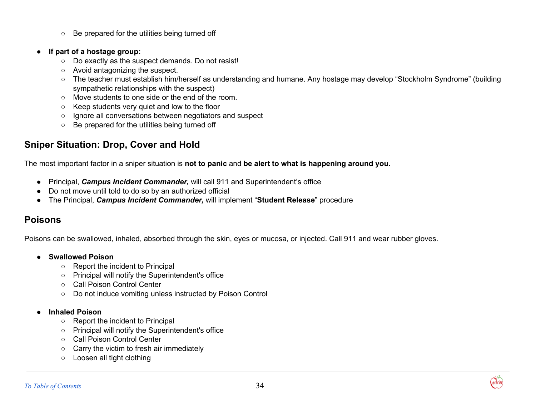- Be prepared for the utilities being turned off
- **If part of a hostage group:**
	- Do exactly as the suspect demands. Do not resist!
	- Avoid antagonizing the suspect.
	- The teacher must establish him/herself as understanding and humane. Any hostage may develop "Stockholm Syndrome" (building sympathetic relationships with the suspect)
	- Move students to one side or the end of the room.
	- Keep students very quiet and low to the floor
	- Ignore all conversations between negotiators and suspect
	- Be prepared for the utilities being turned off

## **Sniper Situation: Drop, Cover and Hold**

The most important factor in a sniper situation is **not to panic** and **be alert to what is happening around you.**

- Principal, *Campus Incident Commander,* will call 911 and Superintendent's office
- Do not move until told to do so by an authorized official
- The Principal, *Campus Incident Commander,* will implement "**Student Release**" procedure

## **Poisons**

Poisons can be swallowed, inhaled, absorbed through the skin, eyes or mucosa, or injected. Call 911 and wear rubber gloves.

- **● Swallowed Poison**
	- **○** Report the incident to Principal
	- **○** Principal will notify the Superintendent's office
	- **○** Call Poison Control Center
	- **○** Do not induce vomiting unless instructed by Poison Control

#### **● Inhaled Poison**

- Report the incident to Principal
- Principal will notify the Superintendent's office
- Call Poison Control Center
- Carry the victim to fresh air immediately
- Loosen all tight clothing

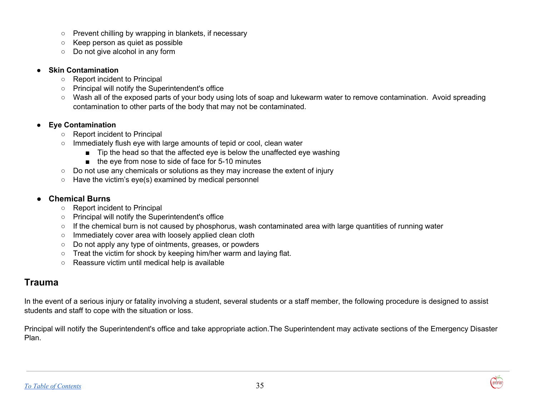- Prevent chilling by wrapping in blankets, if necessary
- Keep person as quiet as possible
- Do not give alcohol in any form

#### **● Skin Contamination**

- **○** Report incident to Principal
- **○** Principal will notify the Superintendent's office
- **○** Wash all of the exposed parts of your body using lots of soap and lukewarm water to remove contamination. Avoid spreading contamination to other parts of the body that may not be contaminated.

#### **● Eye Contamination**

- **○** Report incident to Principal
- **○** Immediately flush eye with large amounts of tepid or cool, clean water
	- Tip the head so that the affected eye is below the unaffected eye washing
	- the eye from nose to side of face for 5-10 minutes
- Do not use any chemicals or solutions as they may increase the extent of injury
- Have the victim's eye(s) examined by medical personnel

#### **● Chemical Burns**

- **○** Report incident to Principal
- **○** Principal will notify the Superintendent's office
- **○** If the chemical burn is not caused by phosphorus, wash contaminated area with large quantities of running water
- **○** Immediately cover area with loosely applied clean cloth
- **○** Do not apply any type of ointments, greases, or powders
- **○** Treat the victim for shock by keeping him/her warm and laying flat.
- **○** Reassure victim until medical help is available

## **Trauma**

In the event of a serious injury or fatality involving a student, several students or a staff member, the following procedure is designed to assist students and staff to cope with the situation or loss.

Principal will notify the Superintendent's office and take appropriate action.The Superintendent may activate sections of the Emergency Disaster Plan.

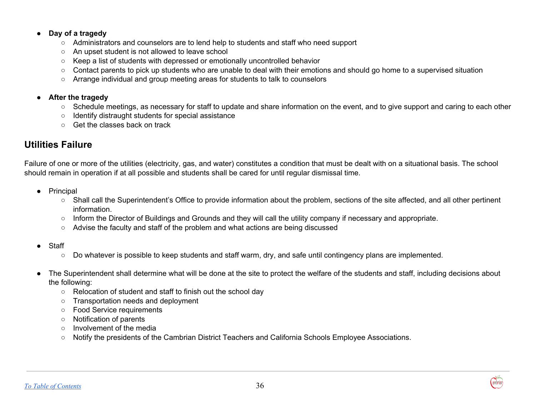#### **● Day of a tragedy**

- **○** Administrators and counselors are to lend help to students and staff who need support
- **○** An upset student is not allowed to leave school
- **○** Keep a list of students with depressed or emotionally uncontrolled behavior
- **○** Contact parents to pick up students who are unable to deal with their emotions and should go home to a supervised situation
- **○** Arrange individual and group meeting areas for students to talk to counselors

#### **● After the tragedy**

- **○** Schedule meetings, as necessary for staff to update and share information on the event, and to give support and caring to each other
- **○** Identify distraught students for special assistance
- **○** Get the classes back on track

## **Utilities Failure**

Failure of one or more of the utilities (electricity, gas, and water) constitutes a condition that must be dealt with on a situational basis. The school should remain in operation if at all possible and students shall be cared for until regular dismissal time.

- Principal
	- Shall call the Superintendent's Office to provide information about the problem, sections of the site affected, and all other pertinent information.
	- Inform the Director of Buildings and Grounds and they will call the utility company if necessary and appropriate.
	- Advise the faculty and staff of the problem and what actions are being discussed
- Staff
	- Do whatever is possible to keep students and staff warm, dry, and safe until contingency plans are implemented.
- The Superintendent shall determine what will be done at the site to protect the welfare of the students and staff, including decisions about the following:
	- Relocation of student and staff to finish out the school day
	- Transportation needs and deployment
	- Food Service requirements
	- Notification of parents
	- Involvement of the media
	- Notify the presidents of the Cambrian District Teachers and California Schools Employee Associations.

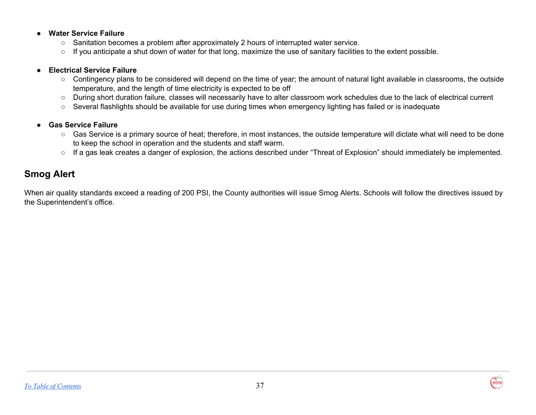#### **● Water Service Failure**

- **○** Sanitation becomes a problem after approximately 2 hours of interrupted water service.
- **○** If you anticipate a shut down of water for that long, maximize the use of sanitary facilities to the extent possible.

#### **● Electrical Service Failure**

- **○** Contingency plans to be considered will depend on the time of year; the amount of natural light available in classrooms, the outside temperature, and the length of time electricity is expected to be off
- **○** During short duration failure, classes will necessarily have to alter classroom work schedules due to the lack of electrical current
- **○** Several flashlights should be available for use during times when emergency lighting has failed or is inadequate
- **● Gas Service Failure**
	- **○** Gas Service is a primary source of heat; therefore, in most instances, the outside temperature will dictate what will need to be done to keep the school in operation and the students and staff warm.
	- **○** If a gas leak creates a danger of explosion, the actions described under "Threat of Explosion" should immediately be implemented.

## **Smog Alert**

When air quality standards exceed a reading of 200 PSI, the County authorities will issue Smog Alerts. Schools will follow the directives issued by the Superintendent's office.

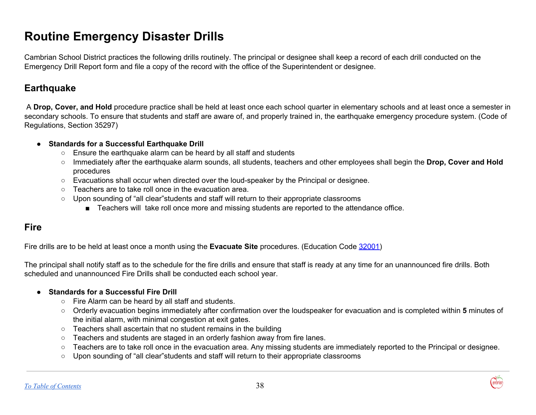## <span id="page-38-0"></span>**Routine Emergency Disaster Drills**

Cambrian School District practices the following drills routinely. The principal or designee shall keep a record of each drill conducted on the Emergency Drill Report form and file a copy of the record with the office of the Superintendent or designee.

## **Earthquake**

A **Drop, Cover, and Hold** procedure practice shall be held at least once each school quarter in elementary schools and at least once a semester in secondary schools. To ensure that students and staff are aware of, and properly trained in, the earthquake emergency procedure system. (Code of Regulations, Section 35297)

#### **● Standards for a Successful Earthquake Drill**

- **○** Ensure the earthquake alarm can be heard by all staff and students
- **○** Immediately after the earthquake alarm sounds, all students, teachers and other employees shall begin the **Drop, Cover and Hold** procedures
- **○** Evacuations shall occur when directed over the loud-speaker by the Principal or designee.
- Teachers are to take roll once in the evacuation area.
- **○** Upon sounding of "all clear"students and staff will return to their appropriate classrooms
	- Teachers will take roll once more and missing students are reported to the attendance office.

## **Fire**

Fire drills are to be held at least once a month using the **Evacuate Site** procedures. (Education Code [32001\)](http://www.gamutonline.net/displayPolicy/131098/3)

The principal shall notify staff as to the schedule for the fire drills and ensure that staff is ready at any time for an unannounced fire drills. Both scheduled and unannounced Fire Drills shall be conducted each school year.

#### **● Standards for a Successful Fire Drill**

- **○** Fire Alarm can be heard by all staff and students.
- **○** Orderly evacuation begins immediately after confirmation over the loudspeaker for evacuation and is completed within **5** minutes of the initial alarm, with minimal congestion at exit gates.
- Teachers shall ascertain that no student remains in the building
- **○** Teachers and students are staged in an orderly fashion away from fire lanes.
- **○** Teachers are to take roll once in the evacuation area. Any missing students are immediately reported to the Principal or designee.
- **○** Upon sounding of "all clear"students and staff will return to their appropriate classrooms

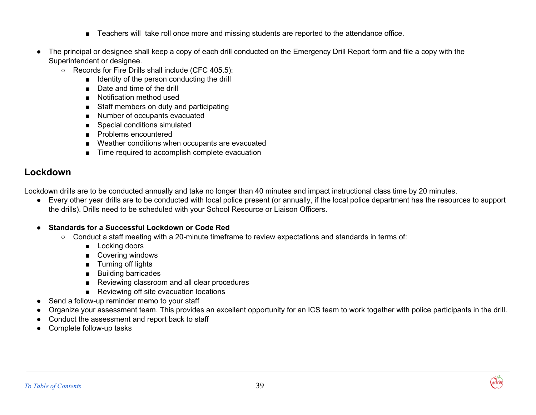- Teachers will take roll once more and missing students are reported to the attendance office.
- The principal or designee shall keep a copy of each drill conducted on the Emergency Drill Report form and file a copy with the Superintendent or designee.
	- Records for Fire Drills shall include (CFC 405.5):
		- Identity of the person conducting the drill
		- Date and time of the drill
		- Notification method used
		- Staff members on duty and participating
		- Number of occupants evacuated
		- Special conditions simulated
		- Problems encountered
		- Weather conditions when occupants are evacuated
		- Time required to accomplish complete evacuation

## **Lockdown**

Lockdown drills are to be conducted annually and take no longer than 40 minutes and impact instructional class time by 20 minutes.

● Every other year drills are to be conducted with local police present (or annually, if the local police department has the resources to support the drills). Drills need to be scheduled with your School Resource or Liaison Officers.

#### **● Standards for a Successful Lockdown or Code Red**

- Conduct a staff meeting with a 20-minute timeframe to review expectations and standards in terms of:
	- Locking doors
	- Covering windows
	- Turning off lights
	- Building barricades
	- Reviewing classroom and all clear procedures
	- Reviewing off site evacuation locations
- Send a follow-up reminder memo to your staff
- Organize your assessment team. This provides an excellent opportunity for an ICS team to work together with police participants in the drill.
- Conduct the assessment and report back to staff
- Complete follow-up tasks

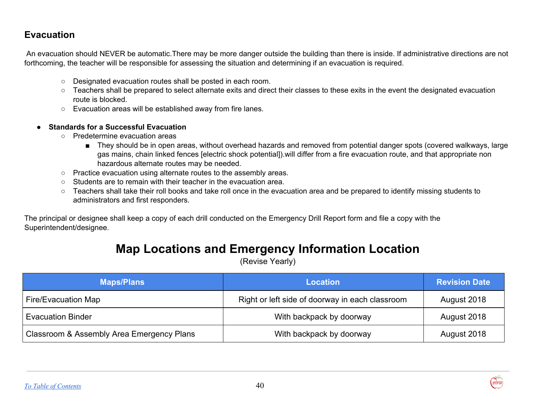## **Evacuation**

An evacuation should NEVER be automatic.There may be more danger outside the building than there is inside. If administrative directions are not forthcoming, the teacher will be responsible for assessing the situation and determining if an evacuation is required.

- Designated evacuation routes shall be posted in each room.
- Teachers shall be prepared to select alternate exits and direct their classes to these exits in the event the designated evacuation route is blocked.
- Evacuation areas will be established away from fire lanes.
- **Standards for a Successful Evacuation**
	- Predetermine evacuation areas
		- They should be in open areas, without overhead hazards and removed from potential danger spots (covered walkways, large gas mains, chain linked fences [electric shock potential]).will differ from a fire evacuation route, and that appropriate non hazardous alternate routes may be needed.
	- Practice evacuation using alternate routes to the assembly areas.
	- Students are to remain with their teacher in the evacuation area.
	- Teachers shall take their roll books and take roll once in the evacuation area and be prepared to identify missing students to administrators and first responders.

The principal or designee shall keep a copy of each drill conducted on the Emergency Drill Report form and file a copy with the Superintendent/designee.

## **Map Locations and Emergency Information Location**

(Revise Yearly)

| <b>Maps/Plans</b>                         | <b>Location</b>                                 | <b>Revision Date</b> |
|-------------------------------------------|-------------------------------------------------|----------------------|
| Fire/Evacuation Map                       | Right or left side of doorway in each classroom | August 2018          |
| <b>Evacuation Binder</b>                  | With backpack by doorway                        | August 2018          |
| Classroom & Assembly Area Emergency Plans | With backpack by doorway                        | August 2018          |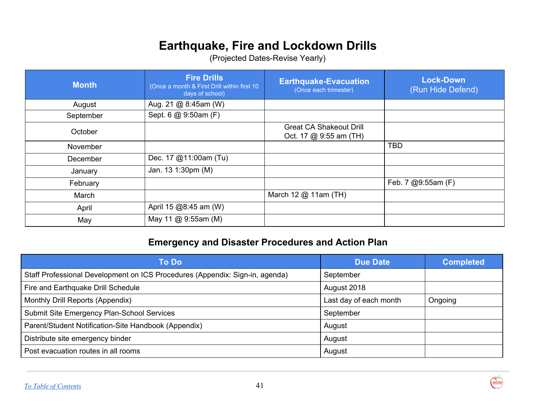## <span id="page-41-0"></span>**Earthquake, Fire and Lockdown Drills**

(Projected Dates-Revise Yearly)

| <b>Month</b> | <b>Fire Drills</b><br>(Once a month & First Drill within first 10<br>days of school) | <b>Earthquake-Evacuation</b><br>(Once each trimester)    | <b>Lock-Down</b><br>(Run Hide Defend) |
|--------------|--------------------------------------------------------------------------------------|----------------------------------------------------------|---------------------------------------|
| August       | Aug. 21 @ 8:45am (W)                                                                 |                                                          |                                       |
| September    | Sept. 6 @ 9:50am (F)                                                                 |                                                          |                                       |
| October      |                                                                                      | <b>Great CA Shakeout Drill</b><br>Oct. 17 @ 9:55 am (TH) |                                       |
| November     |                                                                                      |                                                          | <b>TBD</b>                            |
| December     | Dec. 17 @11:00am (Tu)                                                                |                                                          |                                       |
| January      | Jan. 13 1:30pm (M)                                                                   |                                                          |                                       |
| February     |                                                                                      |                                                          | Feb. 7 @9:55am (F)                    |
| March        |                                                                                      | March 12 @ 11am (TH)                                     |                                       |
| April        | April 15 @8:45 am (W)                                                                |                                                          |                                       |
| May          | May 11 @ 9:55am (M)                                                                  |                                                          |                                       |

## **Emergency and Disaster Procedures and Action Plan**

| To Do                                                                        | <b>Due Date</b>        | <b>Completed</b> |
|------------------------------------------------------------------------------|------------------------|------------------|
| Staff Professional Development on ICS Procedures (Appendix: Sign-in, agenda) | September              |                  |
| Fire and Earthquake Drill Schedule                                           | August 2018            |                  |
| Monthly Drill Reports (Appendix)                                             | Last day of each month | Ongoing          |
| Submit Site Emergency Plan-School Services                                   | September              |                  |
| Parent/Student Notification-Site Handbook (Appendix)                         | August                 |                  |
| Distribute site emergency binder                                             | August                 |                  |
| Post evacuation routes in all rooms                                          | August                 |                  |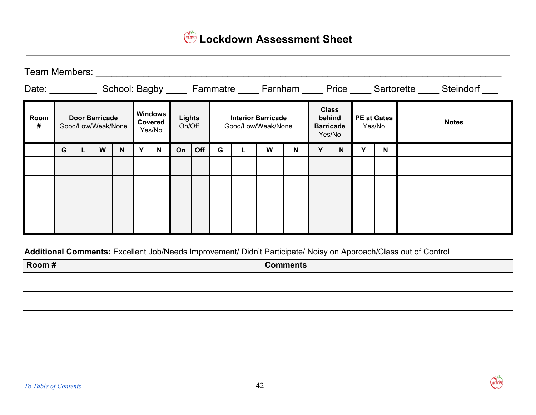<span id="page-42-0"></span>

Team Members: \_\_\_\_\_\_\_\_\_\_\_\_\_\_\_\_\_\_\_\_\_\_\_\_\_\_\_\_\_\_\_\_\_\_\_\_\_\_\_\_\_\_\_\_\_\_\_\_\_\_\_\_\_\_\_\_\_\_\_\_\_\_\_\_\_\_\_\_\_\_\_\_\_\_\_\_\_

| Date:     |                                             |  |   |   |                                     |                         |    |     |                                                 |   |                                                      |   |                              |   |              | School: Bagby _____ Fammatre _____ Farnham _____ Price _____ Sartorette _____ Steindorf |  |
|-----------|---------------------------------------------|--|---|---|-------------------------------------|-------------------------|----|-----|-------------------------------------------------|---|------------------------------------------------------|---|------------------------------|---|--------------|-----------------------------------------------------------------------------------------|--|
| Room<br># | <b>Door Barricade</b><br>Good/Low/Weak/None |  |   |   | <b>Windows</b><br>Covered<br>Yes/No | <b>Lights</b><br>On/Off |    |     | <b>Interior Barricade</b><br>Good/Low/Weak/None |   | <b>Class</b><br>behind<br><b>Barricade</b><br>Yes/No |   | <b>PE at Gates</b><br>Yes/No |   | <b>Notes</b> |                                                                                         |  |
|           | G                                           |  | W | N | v                                   | N                       | On | Off | G                                               | W | N                                                    | Y | N                            | v | N            |                                                                                         |  |
|           |                                             |  |   |   |                                     |                         |    |     |                                                 |   |                                                      |   |                              |   |              |                                                                                         |  |
|           |                                             |  |   |   |                                     |                         |    |     |                                                 |   |                                                      |   |                              |   |              |                                                                                         |  |
|           |                                             |  |   |   |                                     |                         |    |     |                                                 |   |                                                      |   |                              |   |              |                                                                                         |  |
|           |                                             |  |   |   |                                     |                         |    |     |                                                 |   |                                                      |   |                              |   |              |                                                                                         |  |

**Additional Comments:** Excellent Job/Needs Improvement/ Didn't Participate/ Noisy on Approach/Class out of Control

| $\sqrt{$ Room # | <b>Comments</b> |
|-----------------|-----------------|
|                 |                 |
|                 |                 |
|                 |                 |
|                 |                 |

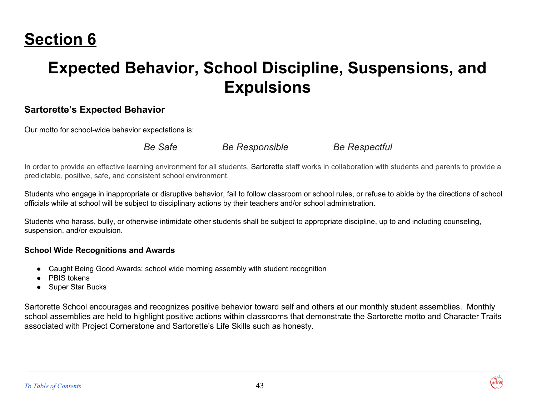## <span id="page-43-0"></span>**Section 6**

## **Expected Behavior, School Discipline, Suspensions, and Expulsions**

## **Sartorette's Expected Behavior**

Our motto for school-wide behavior expectations is:

*Be Safe Be Responsible Be Respectful*

In order to provide an effective learning environment for all students, Sartorette staff works in collaboration with students and parents to provide a predictable, positive, safe, and consistent school environment.

Students who engage in inappropriate or disruptive behavior, fail to follow classroom or school rules, or refuse to abide by the directions of school officials while at school will be subject to disciplinary actions by their teachers and/or school administration.

Students who harass, bully, or otherwise intimidate other students shall be subject to appropriate discipline, up to and including counseling, suspension, and/or expulsion.

### **School Wide Recognitions and Awards**

- Caught Being Good Awards: school wide morning assembly with student recognition
- PBIS tokens
- Super Star Bucks

Sartorette School encourages and recognizes positive behavior toward self and others at our monthly student assemblies. Monthly school assemblies are held to highlight positive actions within classrooms that demonstrate the Sartorette motto and Character Traits associated with Project Cornerstone and Sartorette's Life Skills such as honesty.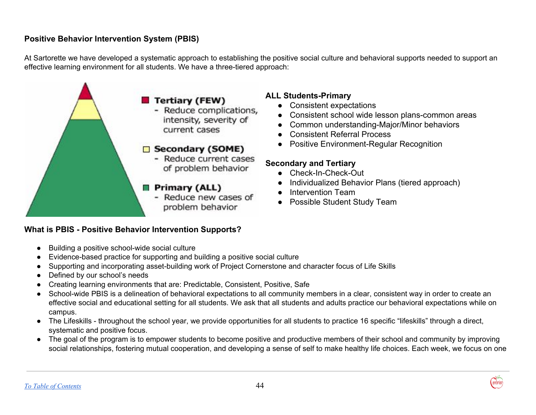## <span id="page-44-0"></span>**Positive Behavior Intervention System (PBIS)**

At Sartorette we have developed a systematic approach to establishing the positive social culture and behavioral supports needed to support an effective learning environment for all students. We have a three-tiered approach:



### **What is PBIS - Positive Behavior Intervention Supports?**

- Building a positive school-wide social culture
- Evidence-based practice for supporting and building a positive social culture
- Supporting and incorporating asset-building work of Project Cornerstone and character focus of Life Skills
- Defined by our school's needs
- Creating learning environments that are: Predictable, Consistent, Positive, Safe
- School-wide PBIS is a delineation of behavioral expectations to all community members in a clear, consistent way in order to create an effective social and educational setting for all students. We ask that all students and adults practice our behavioral expectations while on campus.
- The Lifeskills throughout the school year, we provide opportunities for all students to practice 16 specific "lifeskills" through a direct, systematic and positive focus.
- The goal of the program is to empower students to become positive and productive members of their school and community by improving social relationships, fostering mutual cooperation, and developing a sense of self to make healthy life choices. Each week, we focus on one

## **ALL Students-Primary**

- Consistent expectations
- Consistent school wide lesson plans-common areas
- Common understanding-Major/Minor behaviors
- **Consistent Referral Process**
- Positive Environment-Regular Recognition

#### **Secondary and Tertiary**

- Check-In-Check-Out
- Individualized Behavior Plans (tiered approach)
- Intervention Team
- Possible Student Study Team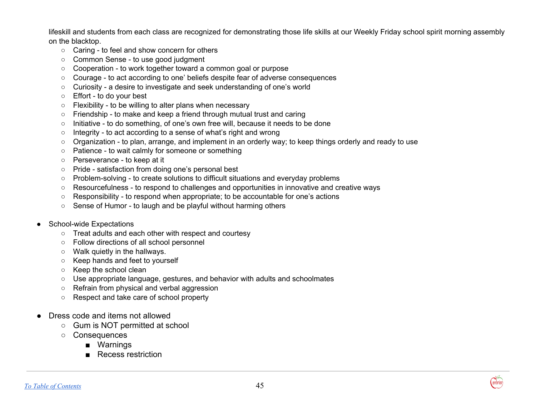lifeskill and students from each class are recognized for demonstrating those life skills at our Weekly Friday school spirit morning assembly on the blacktop.

- Caring to feel and show concern for others
- Common Sense to use good judgment
- Cooperation to work together toward a common goal or purpose
- Courage to act according to one' beliefs despite fear of adverse consequences
- Curiosity a desire to investigate and seek understanding of one's world
- Effort to do your best
- Flexibility to be willing to alter plans when necessary
- Friendship to make and keep a friend through mutual trust and caring
- Initiative to do something, of one's own free will, because it needs to be done
- Integrity to act according to a sense of what's right and wrong
- Organization to plan, arrange, and implement in an orderly way; to keep things orderly and ready to use
- Patience to wait calmly for someone or something
- Perseverance to keep at it
- Pride satisfaction from doing one's personal best
- Problem-solving to create solutions to difficult situations and everyday problems
- Resourcefulness to respond to challenges and opportunities in innovative and creative ways
- Responsibility to respond when appropriate; to be accountable for one's actions
- Sense of Humor to laugh and be playful without harming others
- School-wide Expectations
	- Treat adults and each other with respect and courtesy
	- Follow directions of all school personnel
	- Walk quietly in the hallways.
	- Keep hands and feet to yourself
	- Keep the school clean
	- Use appropriate language, gestures, and behavior with adults and schoolmates
	- Refrain from physical and verbal aggression
	- Respect and take care of school property
- Dress code and items not allowed
	- Gum is NOT permitted at school
	- Consequences
		- Warnings
		- Recess restriction

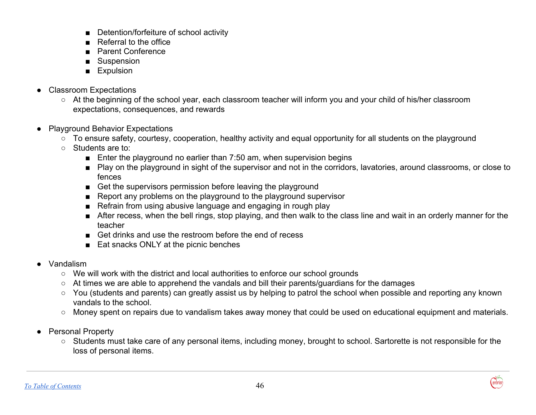- Detention/forfeiture of school activity
- Referral to the office
- Parent Conference
- Suspension
- Expulsion
- Classroom Expectations
	- At the beginning of the school year, each classroom teacher will inform you and your child of his/her classroom expectations, consequences, and rewards
- **Playground Behavior Expectations** 
	- To ensure safety, courtesy, cooperation, healthy activity and equal opportunity for all students on the playground
	- Students are to:
		- Enter the playground no earlier than 7:50 am, when supervision begins
		- Play on the playground in sight of the supervisor and not in the corridors, lavatories, around classrooms, or close to fences
		- Get the supervisors permission before leaving the playground
		- Report any problems on the playground to the playground supervisor
		- Refrain from using abusive language and engaging in rough play
		- After recess, when the bell rings, stop playing, and then walk to the class line and wait in an orderly manner for the teacher
		- Get drinks and use the restroom before the end of recess
		- Eat snacks ONLY at the picnic benches
- Vandalism
	- We will work with the district and local authorities to enforce our school grounds
	- At times we are able to apprehend the vandals and bill their parents/guardians for the damages
	- You (students and parents) can greatly assist us by helping to patrol the school when possible and reporting any known vandals to the school.
	- Money spent on repairs due to vandalism takes away money that could be used on educational equipment and materials.
- Personal Property
	- Students must take care of any personal items, including money, brought to school. Sartorette is not responsible for the loss of personal items.

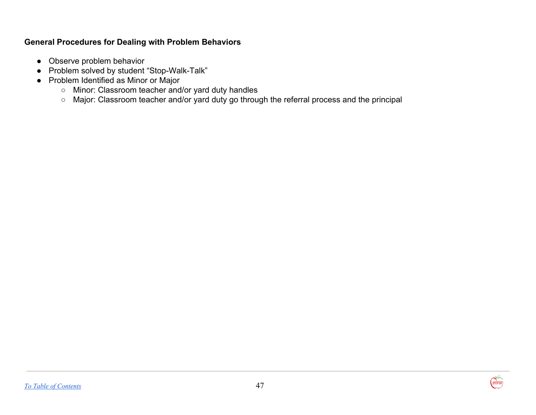### **General Procedures for Dealing with Problem Behaviors**

- Observe problem behavior
- Problem solved by student "Stop-Walk-Talk"
- Problem Identified as Minor or Major
	- Minor: Classroom teacher and/or yard duty handles
	- Major: Classroom teacher and/or yard duty go through the referral process and the principal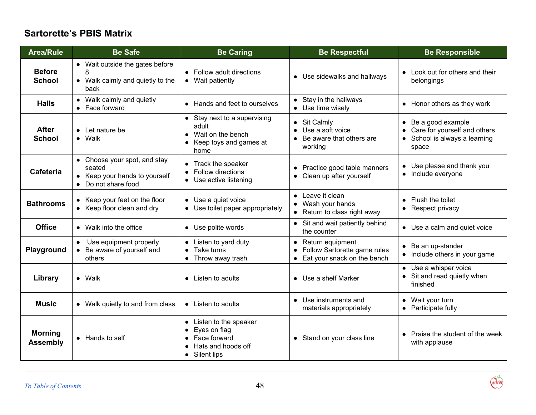## **Sartorette's PBIS Matrix**

| <b>Area/Rule</b>                  | <b>Be Safe</b>                                                                                 | <b>Be Caring</b>                                                                                                       | <b>Be Respectful</b>                                                                                         | <b>Be Responsible</b>                                                                                 |
|-----------------------------------|------------------------------------------------------------------------------------------------|------------------------------------------------------------------------------------------------------------------------|--------------------------------------------------------------------------------------------------------------|-------------------------------------------------------------------------------------------------------|
| <b>Before</b><br><b>School</b>    | • Wait outside the gates before<br>8<br>• Walk calmly and quietly to the<br>back               | • Follow adult directions<br>• Wait patiently                                                                          | • Use sidewalks and hallways                                                                                 | • Look out for others and their<br>belongings                                                         |
| <b>Halls</b>                      | • Walk calmly and quietly<br>• Face forward                                                    | • Hands and feet to ourselves                                                                                          | Stay in the hallways<br>• Use time wisely                                                                    | • Honor others as they work                                                                           |
| <b>After</b><br><b>School</b>     | $\bullet$ Let nature be<br>$\bullet$ Walk                                                      | • Stay next to a supervising<br>adult<br>Wait on the bench<br>$\bullet$<br>Keep toys and games at<br>$\bullet$<br>home | Sit Calmly<br>$\bullet$<br>Use a soft voice<br>$\bullet$<br>Be aware that others are<br>$\bullet$<br>working | $\bullet$ Be a good example<br>Care for yourself and others<br>• School is always a learning<br>space |
| <b>Cafeteria</b>                  | • Choose your spot, and stay<br>seated<br>• Keep your hands to yourself<br>• Do not share food | Track the speaker<br>Follow directions<br>$\bullet$<br>Use active listening                                            | Practice good table manners<br>Clean up after yourself<br>$\bullet$                                          | • Use please and thank you<br>• Include everyone                                                      |
| <b>Bathrooms</b>                  | • Keep your feet on the floor<br>• Keep floor clean and dry                                    | • Use a quiet voice<br>Use toilet paper appropriately                                                                  | • Leave it clean<br>Wash your hands<br>• Return to class right away                                          | • Flush the toilet<br>• Respect privacy                                                               |
| <b>Office</b>                     | • Walk into the office                                                                         | • Use polite words                                                                                                     | • Sit and wait patiently behind<br>the counter                                                               | • Use a calm and quiet voice                                                                          |
| Playground                        | Use equipment properly<br>• Be aware of yourself and<br>others                                 | • Listen to yard duty<br>Take turns<br>Throw away trash<br>$\bullet$                                                   | • Return equipment<br>Follow Sartorette game rules<br>Eat your snack on the bench                            | • Be an up-stander<br>• Include others in your game                                                   |
| Library                           | $\bullet$ Walk                                                                                 | • Listen to adults                                                                                                     | • Use a shelf Marker                                                                                         | • Use a whisper voice<br>• Sit and read quietly when<br>finished                                      |
| <b>Music</b>                      | • Walk quietly to and from class                                                               | • Listen to adults                                                                                                     | Use instruments and<br>$\bullet$<br>materials appropriately                                                  | • Wait your turn<br>• Participate fully                                                               |
| <b>Morning</b><br><b>Assembly</b> | • Hands to self                                                                                | • Listen to the speaker<br>Eyes on flag<br>Face forward<br>Hats and hoods off<br>Silent lips<br>$\bullet$              | Stand on your class line<br>$\bullet$                                                                        | • Praise the student of the week<br>with applause                                                     |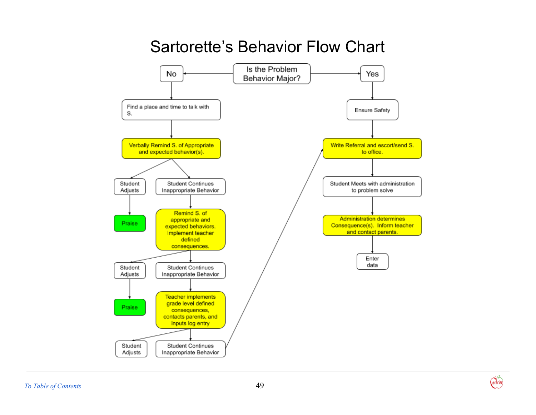## Sartorette's Behavior Flow Chart

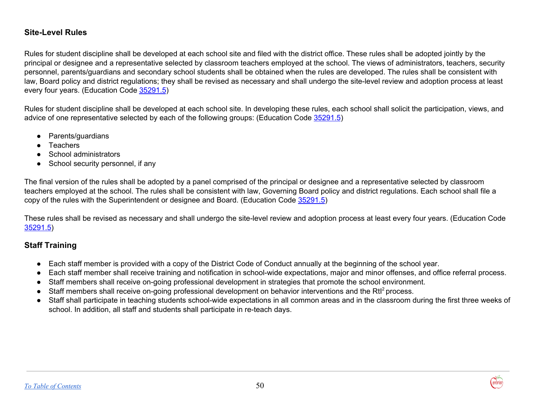#### **Site-Level Rules**

Rules for student discipline shall be developed at each school site and filed with the district office. These rules shall be adopted jointly by the principal or designee and a representative selected by classroom teachers employed at the school. The views of administrators, teachers, security personnel, parents/guardians and secondary school students shall be obtained when the rules are developed. The rules shall be consistent with law, Board policy and district regulations; they shall be revised as necessary and shall undergo the site-level review and adoption process at least every four years. (Education Code [35291.5](http://www.gamutonline.net/displayPolicy/131452/5))

Rules for student discipline shall be developed at each school site. In developing these rules, each school shall solicit the participation, views, and advice of one representative selected by each of the following groups: (Education Code [35291.5](http://www.gamutonline.net/displayPolicy/131452/5))

- Parents/guardians
- Teachers
- School administrators
- School security personnel, if any

The final version of the rules shall be adopted by a panel comprised of the principal or designee and a representative selected by classroom teachers employed at the school. The rules shall be consistent with law, Governing Board policy and district regulations. Each school shall file a copy of the rules with the Superintendent or designee and Board. (Education Code [35291.5](http://www.gamutonline.net/displayPolicy/131452/5))

These rules shall be revised as necessary and shall undergo the site-level review and adoption process at least every four years. (Education Code [35291.5\)](http://www.gamutonline.net/displayPolicy/131452/5)

### **Staff Training**

- Each staff member is provided with a copy of the District Code of Conduct annually at the beginning of the school year.
- Each staff member shall receive training and notification in school-wide expectations, major and minor offenses, and office referral process.
- Staff members shall receive on-going professional development in strategies that promote the school environment.
- Staff members shall receive on-going professional development on behavior interventions and the Rtl<sup>2</sup> process.
- Staff shall participate in teaching students school-wide expectations in all common areas and in the classroom during the first three weeks of school. In addition, all staff and students shall participate in re-teach days.

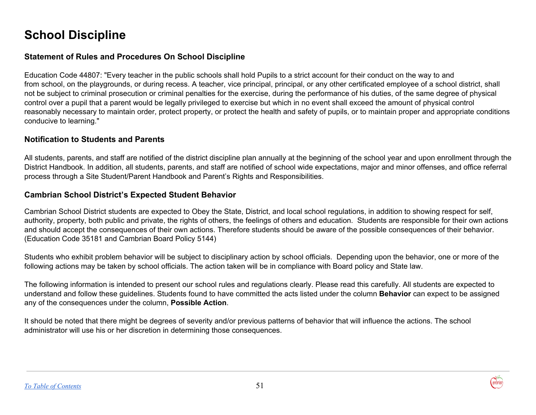## <span id="page-51-0"></span>**School Discipline**

### **Statement of Rules and Procedures On School Discipline**

Education Code 44807: "Every teacher in the public schools shall hold Pupils to a strict account for their conduct on the way to and from school, on the playgrounds, or during recess. A teacher, vice principal, principal, or any other certificated employee of a school district, shall not be subject to criminal prosecution or criminal penalties for the exercise, during the performance of his duties, of the same degree of physical control over a pupil that a parent would be legally privileged to exercise but which in no event shall exceed the amount of physical control reasonably necessary to maintain order, protect property, or protect the health and safety of pupils, or to maintain proper and appropriate conditions conducive to learning."

#### **Notification to Students and Parents**

All students, parents, and staff are notified of the district discipline plan annually at the beginning of the school year and upon enrollment through the District Handbook. In addition, all students, parents, and staff are notified of school wide expectations, major and minor offenses, and office referral process through a Site Student/Parent Handbook and Parent's Rights and Responsibilities.

#### **Cambrian School District's Expected Student Behavior**

Cambrian School District students are expected to Obey the State, District, and local school regulations, in addition to showing respect for self, authority, property, both public and private, the rights of others, the feelings of others and education. Students are responsible for their own actions and should accept the consequences of their own actions. Therefore students should be aware of the possible consequences of their behavior. (Education Code 35181 and Cambrian Board Policy 5144)

Students who exhibit problem behavior will be subject to disciplinary action by school officials. Depending upon the behavior, one or more of the following actions may be taken by school officials. The action taken will be in compliance with Board policy and State law.

The following information is intended to present our school rules and regulations clearly. Please read this carefully. All students are expected to understand and follow these guidelines. Students found to have committed the acts listed under the column **Behavior** can expect to be assigned any of the consequences under the column, **Possible Action**.

It should be noted that there might be degrees of severity and/or previous patterns of behavior that will influence the actions. The school administrator will use his or her discretion in determining those consequences.

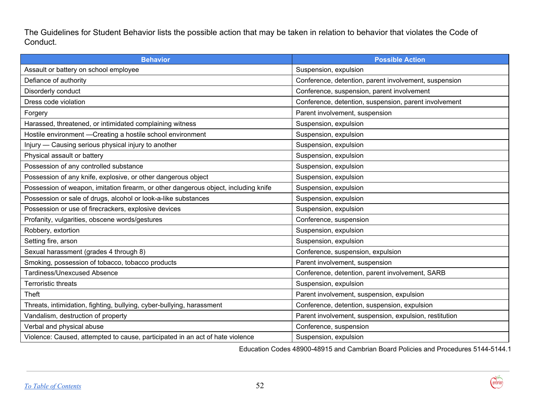The Guidelines for Student Behavior lists the possible action that may be taken in relation to behavior that violates the Code of Conduct.

| <b>Behavior</b>                                                                     | <b>Possible Action</b>                                 |
|-------------------------------------------------------------------------------------|--------------------------------------------------------|
| Assault or battery on school employee                                               | Suspension, expulsion                                  |
| Defiance of authority                                                               | Conference, detention, parent involvement, suspension  |
| Disorderly conduct                                                                  | Conference, suspension, parent involvement             |
| Dress code violation                                                                | Conference, detention, suspension, parent involvement  |
| Forgery                                                                             | Parent involvement, suspension                         |
| Harassed, threatened, or intimidated complaining witness                            | Suspension, expulsion                                  |
| Hostile environment - Creating a hostile school environment                         | Suspension, expulsion                                  |
| Injury - Causing serious physical injury to another                                 | Suspension, expulsion                                  |
| Physical assault or battery                                                         | Suspension, expulsion                                  |
| Possession of any controlled substance                                              | Suspension, expulsion                                  |
| Possession of any knife, explosive, or other dangerous object                       | Suspension, expulsion                                  |
| Possession of weapon, imitation firearm, or other dangerous object, including knife | Suspension, expulsion                                  |
| Possession or sale of drugs, alcohol or look-a-like substances                      | Suspension, expulsion                                  |
| Possession or use of firecrackers, explosive devices                                | Suspension, expulsion                                  |
| Profanity, vulgarities, obscene words/gestures                                      | Conference, suspension                                 |
| Robbery, extortion                                                                  | Suspension, expulsion                                  |
| Setting fire, arson                                                                 | Suspension, expulsion                                  |
| Sexual harassment (grades 4 through 8)                                              | Conference, suspension, expulsion                      |
| Smoking, possession of tobacco, tobacco products                                    | Parent involvement, suspension                         |
| <b>Tardiness/Unexcused Absence</b>                                                  | Conference, detention, parent involvement, SARB        |
| <b>Terroristic threats</b>                                                          | Suspension, expulsion                                  |
| Theft                                                                               | Parent involvement, suspension, expulsion              |
| Threats, intimidation, fighting, bullying, cyber-bullying, harassment               | Conference, detention, suspension, expulsion           |
| Vandalism, destruction of property                                                  | Parent involvement, suspension, expulsion, restitution |
| Verbal and physical abuse                                                           | Conference, suspension                                 |
| Violence: Caused, attempted to cause, participated in an act of hate violence       | Suspension, expulsion                                  |

Education Codes 48900-48915 and Cambrian Board Policies and Procedures 5144-5144.1

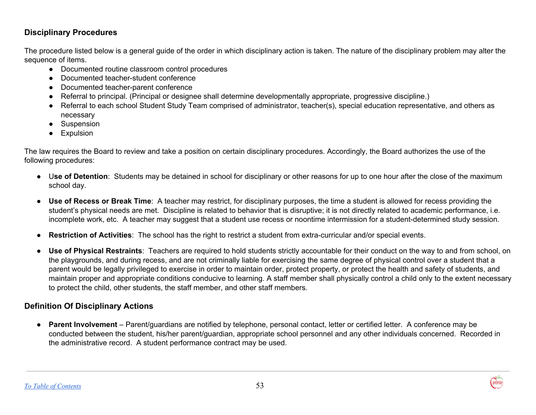## **Disciplinary Procedures**

The procedure listed below is a general guide of the order in which disciplinary action is taken. The nature of the disciplinary problem may alter the sequence of items.

- Documented routine classroom control procedures
- Documented teacher-student conference
- Documented teacher-parent conference
- Referral to principal. (Principal or designee shall determine developmentally appropriate, progressive discipline.)
- Referral to each school Student Study Team comprised of administrator, teacher(s), special education representative, and others as necessary
- Suspension
- Expulsion

The law requires the Board to review and take a position on certain disciplinary procedures. Accordingly, the Board authorizes the use of the following procedures:

- U**se of Detention**: Students may be detained in school for disciplinary or other reasons for up to one hour after the close of the maximum school day.
- **Use of Recess or Break Time**: A teacher may restrict, for disciplinary purposes, the time a student is allowed for recess providing the student's physical needs are met. Discipline is related to behavior that is disruptive; it is not directly related to academic performance, i.e. incomplete work, etc. A teacher may suggest that a student use recess or noontime intermission for a student-determined study session.
- **Restriction of Activities**: The school has the right to restrict a student from extra-curricular and/or special events.
- **Use of Physical Restraints**: Teachers are required to hold students strictly accountable for their conduct on the way to and from school, on the playgrounds, and during recess, and are not criminally liable for exercising the same degree of physical control over a student that a parent would be legally privileged to exercise in order to maintain order, protect property, or protect the health and safety of students, and maintain proper and appropriate conditions conducive to learning. A staff member shall physically control a child only to the extent necessary to protect the child, other students, the staff member, and other staff members.

## **Definition Of Disciplinary Actions**

● **Parent Involvement** – Parent/guardians are notified by telephone, personal contact, letter or certified letter. A conference may be conducted between the student, his/her parent/guardian, appropriate school personnel and any other individuals concerned. Recorded in the administrative record. A student performance contract may be used.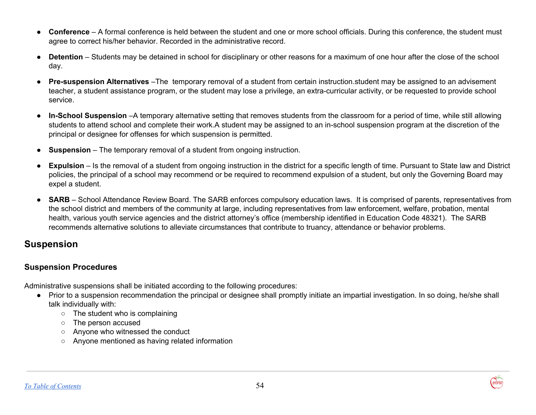- **Conference** A formal conference is held between the student and one or more school officials. During this conference, the student must agree to correct his/her behavior. Recorded in the administrative record.
- **Detention** Students may be detained in school for disciplinary or other reasons for a maximum of one hour after the close of the school day.
- **Pre-suspension Alternatives** –The temporary removal of a student from certain instruction.student may be assigned to an advisement teacher, a student assistance program, or the student may lose a privilege, an extra-curricular activity, or be requested to provide school service.
- **In-School Suspension** –A temporary alternative setting that removes students from the classroom for a period of time, while still allowing students to attend school and complete their work.A student may be assigned to an in-school suspension program at the discretion of the principal or designee for offenses for which suspension is permitted.
- **Suspension** The temporary removal of a student from ongoing instruction.
- **Expulsion** Is the removal of a student from ongoing instruction in the district for a specific length of time. Pursuant to State law and District policies, the principal of a school may recommend or be required to recommend expulsion of a student, but only the Governing Board may expel a student.
- **SARB** School Attendance Review Board. The SARB enforces compulsory education laws. It is comprised of parents, representatives from the school district and members of the community at large, including representatives from law enforcement, welfare, probation, mental health, various youth service agencies and the district attorney's office (membership identified in Education Code 48321). The SARB recommends alternative solutions to alleviate circumstances that contribute to truancy, attendance or behavior problems.

## <span id="page-54-0"></span>**Suspension**

### **Suspension Procedures**

Administrative suspensions shall be initiated according to the following procedures:

- Prior to a suspension recommendation the principal or designee shall promptly initiate an impartial investigation. In so doing, he/she shall talk individually with:
	- The student who is complaining
	- The person accused
	- Anyone who witnessed the conduct
	- Anyone mentioned as having related information

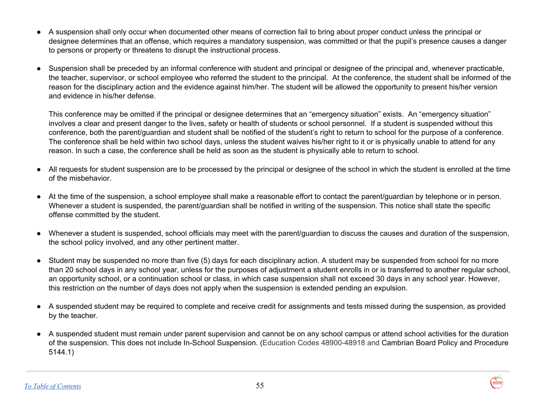- A suspension shall only occur when documented other means of correction fail to bring about proper conduct unless the principal or designee determines that an offense, which requires a mandatory suspension, was committed or that the pupil's presence causes a danger to persons or property or threatens to disrupt the instructional process.
- Suspension shall be preceded by an informal conference with student and principal or designee of the principal and, whenever practicable, the teacher, supervisor, or school employee who referred the student to the principal. At the conference, the student shall be informed of the reason for the disciplinary action and the evidence against him/her. The student will be allowed the opportunity to present his/her version and evidence in his/her defense.

This conference may be omitted if the principal or designee determines that an "emergency situation" exists. An "emergency situation" involves a clear and present danger to the lives, safety or health of students or school personnel. If a student is suspended without this conference, both the parent/guardian and student shall be notified of the student's right to return to school for the purpose of a conference. The conference shall be held within two school days, unless the student waives his/her right to it or is physically unable to attend for any reason. In such a case, the conference shall be held as soon as the student is physically able to return to school.

- All requests for student suspension are to be processed by the principal or designee of the school in which the student is enrolled at the time of the misbehavior.
- At the time of the suspension, a school employee shall make a reasonable effort to contact the parent/guardian by telephone or in person. Whenever a student is suspended, the parent/guardian shall be notified in writing of the suspension. This notice shall state the specific offense committed by the student.
- Whenever a student is suspended, school officials may meet with the parent/guardian to discuss the causes and duration of the suspension, the school policy involved, and any other pertinent matter.
- Student may be suspended no more than five (5) days for each disciplinary action. A student may be suspended from school for no more than 20 school days in any school year, unless for the purposes of adjustment a student enrolls in or is transferred to another regular school, an opportunity school, or a continuation school or class, in which case suspension shall not exceed 30 days in any school year. However, this restriction on the number of days does not apply when the suspension is extended pending an expulsion.
- A suspended student may be required to complete and receive credit for assignments and tests missed during the suspension, as provided by the teacher.
- A suspended student must remain under parent supervision and cannot be on any school campus or attend school activities for the duration of the suspension. This does not include In-School Suspension. (Education Codes 48900-48918 and Cambrian Board Policy and Procedure 5144.1)

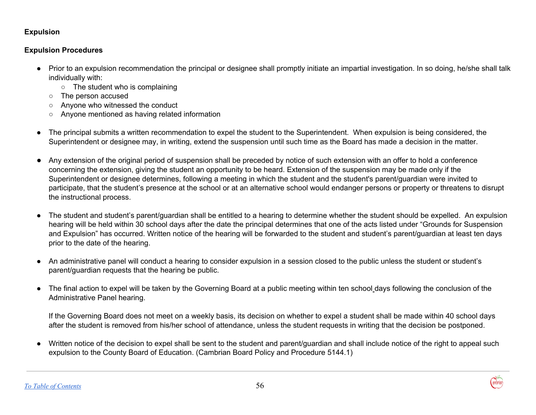#### <span id="page-56-0"></span>**Expulsion**

#### **Expulsion Procedures**

- Prior to an expulsion recommendation the principal or designee shall promptly initiate an impartial investigation. In so doing, he/she shall talk individually with:
	- The student who is complaining
	- The person accused
	- Anyone who witnessed the conduct
	- Anyone mentioned as having related information
- The principal submits a written recommendation to expel the student to the Superintendent. When expulsion is being considered, the Superintendent or designee may, in writing, extend the suspension until such time as the Board has made a decision in the matter.
- Any extension of the original period of suspension shall be preceded by notice of such extension with an offer to hold a conference concerning the extension, giving the student an opportunity to be heard. Extension of the suspension may be made only if the Superintendent or designee determines, following a meeting in which the student and the student's parent/guardian were invited to participate, that the student's presence at the school or at an alternative school would endanger persons or property or threatens to disrupt the instructional process.
- The student and student's parent/guardian shall be entitled to a hearing to determine whether the student should be expelled. An expulsion hearing will be held within 30 school days after the date the principal determines that one of the acts listed under "Grounds for Suspension and Expulsion" has occurred. Written notice of the hearing will be forwarded to the student and student's parent/guardian at least ten days prior to the date of the hearing.
- An administrative panel will conduct a hearing to consider expulsion in a session closed to the public unless the student or student's parent/guardian requests that the hearing be public.
- The final action to expel will be taken by the Governing Board at a public meeting within ten school days following the conclusion of the Administrative Panel hearing.

If the Governing Board does not meet on a weekly basis, its decision on whether to expel a student shall be made within 40 school days after the student is removed from his/her school of attendance, unless the student requests in writing that the decision be postponed.

Written notice of the decision to expel shall be sent to the student and parent/guardian and shall include notice of the right to appeal such expulsion to the County Board of Education. (Cambrian Board Policy and Procedure 5144.1)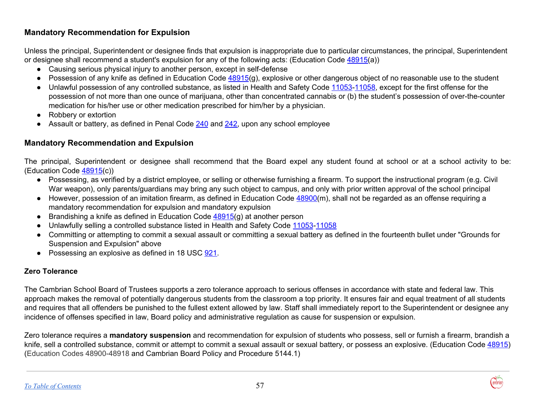## **Mandatory Recommendation for Expulsion**

Unless the principal, Superintendent or designee finds that expulsion is inappropriate due to particular circumstances, the principal, Superintendent or designee shall recommend a student's expulsion for any of the following acts: (Education Code [48915\(](http://www.gamutonline.net/displayPolicy/135958/5)a))

- Causing serious physical injury to another person, except in self-defense
- $\bullet$  Possession of any knife as defined in Education Code [48915\(](http://www.gamutonline.net/displayPolicy/135958/5)g), explosive or other dangerous object of no reasonable use to the student
- Unlawful possession of any controlled substance, as listed in Health and Safety Code [11053](http://www.gamutonline.net/displayPolicy/149830/5)[-11058,](http://www.gamutonline.net/displayPolicy/149833/5) except for the first offense for the possession of not more than one ounce of marijuana, other than concentrated cannabis or (b) the student's possession of over-the-counter medication for his/her use or other medication prescribed for him/her by a physician.
- Robbery or extortion
- Assault or battery, as defined in Penal Code [240](http://www.gamutonline.net/displayPolicy/169313/5) and [242,](http://www.gamutonline.net/displayPolicy/169318/5) upon any school employee

### **Mandatory Recommendation and Expulsion**

The principal, Superintendent or designee shall recommend that the Board expel any student found at school or at a school activity to be: (Education Code [48915\(](http://www.gamutonline.net/displayPolicy/135958/5)c))

- Possessing, as verified by a district employee, or selling or otherwise furnishing a firearm. To support the instructional program (e.g. Civil War weapon), only parents/guardians may bring any such object to campus, and only with prior written approval of the school principal
- However, possession of an imitation firearm, as defined in Education Code 48900(m), shall not be regarded as an offense requiring a mandatory recommendation for expulsion and mandatory expulsion
- Brandishing a knife as defined in Education Code  $48915(q)$  $48915(q)$  at another person
- Unlawfully selling a controlled substance listed in Health and Safety Code [11053](http://www.gamutonline.net/displayPolicy/149830/5)[-11058](http://www.gamutonline.net/displayPolicy/149833/5)
- Committing or attempting to commit a sexual assault or committing a sexual battery as defined in the fourteenth bullet under "Grounds for Suspension and Expulsion" above
- Possessing an explosive as defined in 18 USC [921.](http://www.gamutonline.net/displayPolicy/437784/5)

#### **Zero Tolerance**

The Cambrian School Board of Trustees supports a zero tolerance approach to serious offenses in accordance with state and federal law. This approach makes the removal of potentially dangerous students from the classroom a top priority. It ensures fair and equal treatment of all students and requires that all offenders be punished to the fullest extent allowed by law. Staff shall immediately report to the Superintendent or designee any incidence of offenses specified in law, Board policy and administrative regulation as cause for suspension or expulsion.

Zero tolerance requires a **mandatory suspension** and recommendation for expulsion of students who possess, sell or furnish a firearm, brandish a knife, sell a controlled substance, commit or attempt to commit a sexual assault or sexual battery, or possess an explosive. (Education Code [48915\)](http://www.gamutonline.net/displayPolicy/135958/5) (Education Codes 48900-48918 and Cambrian Board Policy and Procedure 5144.1)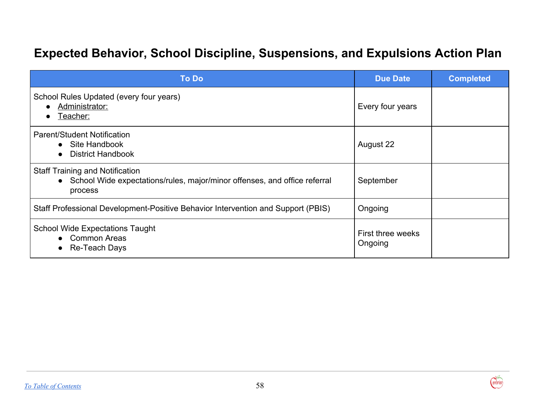## **Expected Behavior, School Discipline, Suspensions, and Expulsions Action Plan**

| <b>To Do</b>                                                                                                                     | <b>Due Date</b>              | <b>Completed</b> |
|----------------------------------------------------------------------------------------------------------------------------------|------------------------------|------------------|
| School Rules Updated (every four years)<br>Administrator:<br><u>Teacher:</u>                                                     | Every four years             |                  |
| Parent/Student Notification<br>• Site Handbook<br><b>District Handbook</b><br>$\bullet$                                          | August 22                    |                  |
| <b>Staff Training and Notification</b><br>• School Wide expectations/rules, major/minor offenses, and office referral<br>process | September                    |                  |
| Staff Professional Development-Positive Behavior Intervention and Support (PBIS)                                                 | Ongoing                      |                  |
| <b>School Wide Expectations Taught</b><br>• Common Areas<br>Re-Teach Days                                                        | First three weeks<br>Ongoing |                  |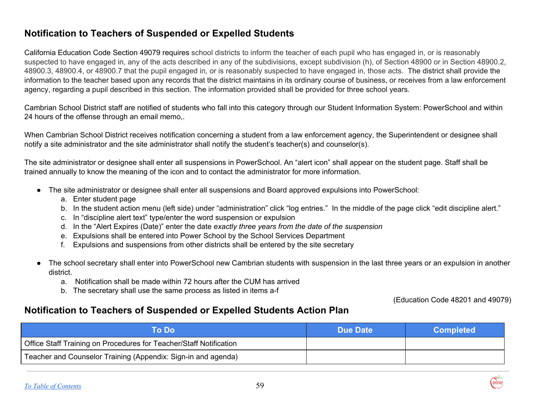## <span id="page-59-0"></span>**Notification to Teachers of Suspended or Expelled Students**

California Education Code Section 49079 requires school districts to inform the teacher of each pupil who has engaged in, or is reasonably suspected to have engaged in, any of the acts described in any of the subdivisions, except subdivision (h), of Section 48900 or in Section 48900.2, 48900.3, 48900.4, or 48900.7 that the pupil engaged in, or is reasonably suspected to have engaged in, those acts. The district shall provide the information to the teacher based upon any records that the district maintains in its ordinary course of business, or receives from a law enforcement agency, regarding a pupil described in this section. The information provided shall be provided for three school years.

Cambrian School District staff are notified of students who fall into this category through our Student Information System: PowerSchool and within 24 hours of the offense through an email memo,.

When Cambrian School District receives notification concerning a student from a law enforcement agency, the Superintendent or designee shall notify a site administrator and the site administrator shall notify the student's teacher(s) and counselor(s).

The site administrator or designee shall enter all suspensions in PowerSchool. An "alert icon" shall appear on the student page. Staff shall be trained annually to know the meaning of the icon and to contact the administrator for more information.

- The site administrator or designee shall enter all suspensions and Board approved expulsions into PowerSchool:
	- a. Enter student page
	- b. In the student action menu (left side) under "administration" click "log entries." In the middle of the page click "edit discipline alert."
	- c. In "discipline alert text" type/enter the word suspension or expulsion
	- d. In the "Alert Expires (Date)" enter the date *exactly three years from the date of the suspension*
	- e. Expulsions shall be entered into Power School by the School Services Department
	- f. Expulsions and suspensions from other districts shall be entered by the site secretary
- The school secretary shall enter into PowerSchool new Cambrian students with suspension in the last three years or an expulsion in another district.
	- a. Notification shall be made within 72 hours after the CUM has arrived
	- b. The secretary shall use the same process as listed in items a-f

(Education Code 48201 and 49079)

## **Notification to Teachers of Suspended or Expelled Students Action Plan**

| To Dol                                                             | Due Date | <b>Completed</b> |
|--------------------------------------------------------------------|----------|------------------|
| Office Staff Training on Procedures for Teacher/Staff Notification |          |                  |
| Teacher and Counselor Training (Appendix: Sign-in and agenda)      |          |                  |

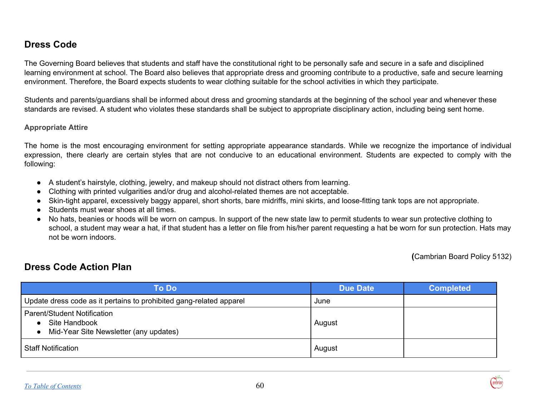## <span id="page-60-0"></span>**Dress Code**

The Governing Board believes that students and staff have the constitutional right to be personally safe and secure in a safe and disciplined learning environment at school. The Board also believes that appropriate dress and grooming contribute to a productive, safe and secure learning environment. Therefore, the Board expects students to wear clothing suitable for the school activities in which they participate.

Students and parents/guardians shall be informed about dress and grooming standards at the beginning of the school year and whenever these standards are revised. A student who violates these standards shall be subject to appropriate disciplinary action, including being sent home.

#### **Appropriate Attire**

The home is the most encouraging environment for setting appropriate appearance standards. While we recognize the importance of individual expression, there clearly are certain styles that are not conducive to an educational environment. Students are expected to comply with the following:

- A student's hairstyle, clothing, jewelry, and makeup should not distract others from learning.
- Clothing with printed vulgarities and/or drug and alcohol-related themes are not acceptable.
- Skin-tight apparel, excessively baggy apparel, short shorts, bare midriffs, mini skirts, and loose-fitting tank tops are not appropriate.
- Students must wear shoes at all times.
- No hats, beanies or hoods will be worn on campus. In support of the new state law to permit students to wear sun protective clothing to school, a student may wear a hat, if that student has a letter on file from his/her parent requesting a hat be worn for sun protection. Hats may not be worn indoors.

**(**Cambrian Board Policy 5132)

ambriai

## **Dress Code Action Plan**

| <b>To Do</b>                                                                                  | <b>Due Date</b> | <b>Completed</b> |
|-----------------------------------------------------------------------------------------------|-----------------|------------------|
| Update dress code as it pertains to prohibited gang-related apparel                           | June            |                  |
| <b>Parent/Student Notification</b><br>Site Handbook<br>Mid-Year Site Newsletter (any updates) | August          |                  |
| <b>Staff Notification</b>                                                                     | August          |                  |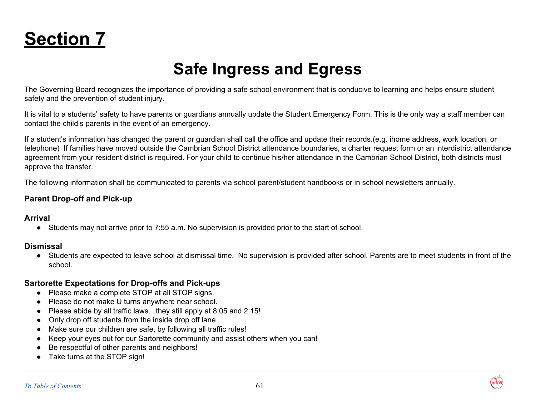<span id="page-61-0"></span>

## **Safe Ingress and Egress**

The Governing Board recognizes the importance of providing a safe school environment that is conducive to learning and helps ensure student safety and the prevention of student injury.

It is vital to a students' safety to have parents or guardians annually update the Student Emergency Form. This is the only way a staff member can contact the child's parents in the event of an emergency.

If a student's information has changed the parent or guardian shall call the office and update their records.(e.g. ihome address, work location, or telephone) If families have moved outside the Cambrian School District attendance boundaries, a charter request form or an interdistrict attendance agreement from your resident district is required. For your child to continue his/her attendance in the Cambrian School District, both districts must approve the transfer.

The following information shall be communicated to parents via school parent/student handbooks or in school newsletters annually.

#### **Parent Drop-off and Pick-up**

#### **Arrival**

● Students may not arrive prior to 7:55 a.m. No supervision is provided prior to the start of school.

#### **Dismissal**

● Students are expected to leave school at dismissal time. No supervision is provided after school. Parents are to meet students in front of the school.

#### **Sartorette Expectations for Drop-offs and Pick-ups**

- Please make a complete STOP at all STOP signs.
- Please do not make U turns anywhere near school.
- Please abide by all traffic laws…they still apply at 8:05 and 2:15!
- Only drop off students from the inside drop off lane
- Make sure our children are safe, by following all traffic rules!
- Keep your eyes out for our Sartorette community and assist others when you can!
- Be respectful of other parents and neighbors!
- Take turns at the STOP sign!

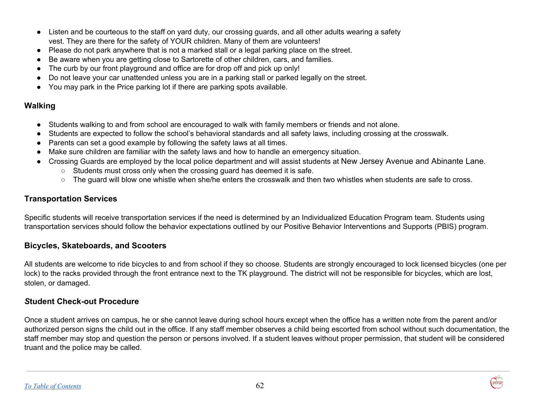- Listen and be courteous to the staff on yard duty, our crossing guards, and all other adults wearing a safety vest. They are there for the safety of YOUR children. Many of them are volunteers!
- Please do not park anywhere that is not a marked stall or a legal parking place on the street.
- Be aware when you are getting close to Sartorette of other children, cars, and families.
- The curb by our front playground and office are for drop off and pick up only!
- Do not leave your car unattended unless you are in a parking stall or parked legally on the street.
- You may park in the Price parking lot if there are parking spots available.

## **Walking**

- Students walking to and from school are encouraged to walk with family members or friends and not alone.
- Students are expected to follow the school's behavioral standards and all safety laws, including crossing at the crosswalk.
- Parents can set a good example by following the safety laws at all times.
- Make sure children are familiar with the safety laws and how to handle an emergency situation.
- Crossing Guards are employed by the local police department and will assist students at New Jersey Avenue and Abinante Lane.
	- **○** Students must cross only when the crossing guard has deemed it is safe.
	- **○** The guard will blow one whistle when she/he enters the crosswalk and then two whistles when students are safe to cross.

## **Transportation Services**

Specific students will receive transportation services if the need is determined by an Individualized Education Program team. Students using transportation services should follow the behavior expectations outlined by our Positive Behavior Interventions and Supports (PBIS) program.

## **Bicycles, Skateboards, and Scooters**

All students are welcome to ride bicycles to and from school if they so choose. Students are strongly encouraged to lock licensed bicycles (one per lock) to the racks provided through the front entrance next to the TK playground. The district will not be responsible for bicycles, which are lost, stolen, or damaged.

## *S***tudent Check-out Procedure**

Once a student arrives on campus, he or she cannot leave during school hours except when the office has a written note from the parent and/or authorized person signs the child out in the office. If any staff member observes a child being escorted from school without such documentation, the staff member may stop and question the person or persons involved. If a student leaves without proper permission, that student will be considered truant and the police may be called.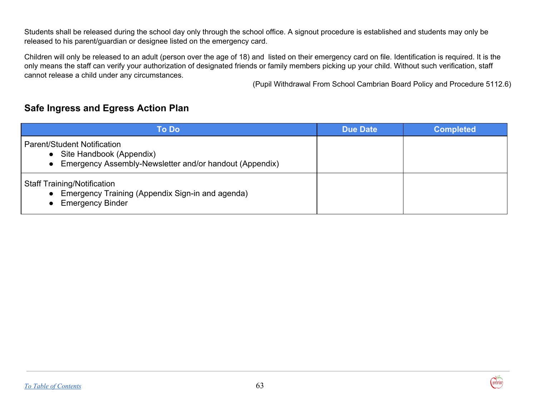Students shall be released during the school day only through the school office. A signout procedure is established and students may only be released to his parent/guardian or designee listed on the emergency card.

Children will only be released to an adult (person over the age of 18) and listed on their emergency card on file. Identification is required. It is the only means the staff can verify your authorization of designated friends or family members picking up your child. Without such verification, staff cannot release a child under any circumstances.

(Pupil Withdrawal From School Cambrian Board Policy and Procedure 5112.6)

## **Safe Ingress and Egress Action Plan**

| <b>To Do</b>                                                                                                                  | <b>Due Date</b> | <b>Completed</b> |
|-------------------------------------------------------------------------------------------------------------------------------|-----------------|------------------|
| <b>Parent/Student Notification</b><br>• Site Handbook (Appendix)<br>• Emergency Assembly-Newsletter and/or handout (Appendix) |                 |                  |
| <b>Staff Training/Notification</b><br>• Emergency Training (Appendix Sign-in and agenda)<br>• Emergency Binder                |                 |                  |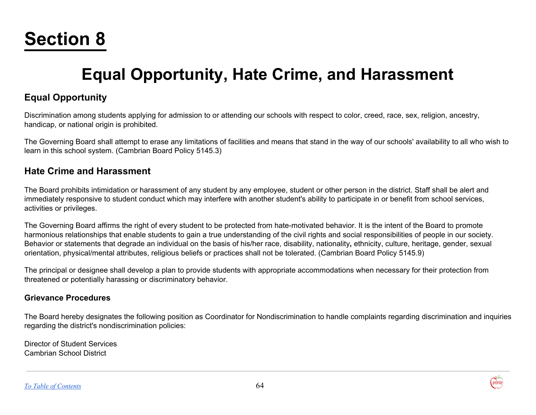# <span id="page-64-0"></span>**Section 8**

## **Equal Opportunity, Hate Crime, and Harassment**

## **Equal Opportunity**

Discrimination among students applying for admission to or attending our schools with respect to color, creed, race, sex, religion, ancestry, handicap, or national origin is prohibited.

The Governing Board shall attempt to erase any limitations of facilities and means that stand in the way of our schools' availability to all who wish to learn in this school system. (Cambrian Board Policy 5145.3)

## **Hate Crime and Harassment**

The Board prohibits intimidation or harassment of any student by any employee, student or other person in the district. Staff shall be alert and immediately responsive to student conduct which may interfere with another student's ability to participate in or benefit from school services, activities or privileges.

The Governing Board affirms the right of every student to be protected from hate-motivated behavior. It is the intent of the Board to promote harmonious relationships that enable students to gain a true understanding of the civil rights and social responsibilities of people in our society. Behavior or statements that degrade an individual on the basis of his/her race, disability, nationality**,** ethnicity, culture, heritage, gender, sexual orientation, physical/mental attributes, religious beliefs or practices shall not be tolerated. (Cambrian Board Policy 5145.9)

The principal or designee shall develop a plan to provide students with appropriate accommodations when necessary for their protection from threatened or potentially harassing or discriminatory behavior.

#### **Grievance Procedures**

The Board hereby designates the following position as Coordinator for Nondiscrimination to handle complaints regarding discrimination and inquiries regarding the district's nondiscrimination policies:

Director of Student Services Cambrian School District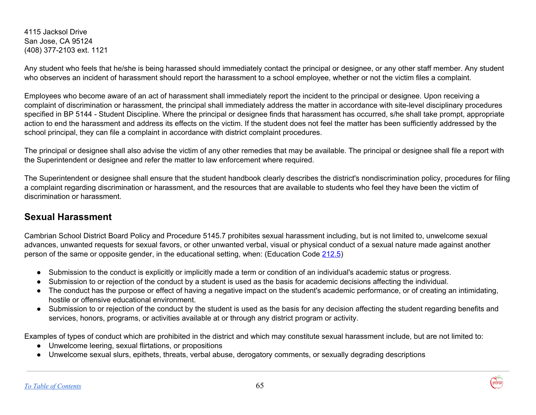4115 Jacksol Drive San Jose, CA 95124 (408) 377-2103 ext. 1121

Any student who feels that he/she is being harassed should immediately contact the principal or designee, or any other staff member. Any student who observes an incident of harassment should report the harassment to a school employee, whether or not the victim files a complaint.

Employees who become aware of an act of harassment shall immediately report the incident to the principal or designee. Upon receiving a complaint of discrimination or harassment, the principal shall immediately address the matter in accordance with site-level disciplinary procedures specified in BP 5144 - Student Discipline. Where the principal or designee finds that harassment has occurred, s/he shall take prompt, appropriate action to end the harassment and address its effects on the victim. If the student does not feel the matter has been sufficiently addressed by the school principal, they can file a complaint in accordance with district complaint procedures.

The principal or designee shall also advise the victim of any other remedies that may be available. The principal or designee shall file a report with the Superintendent or designee and refer the matter to law enforcement where required.

The Superintendent or designee shall ensure that the student handbook clearly describes the district's nondiscrimination policy, procedures for filing a complaint regarding discrimination or harassment, and the resources that are available to students who feel they have been the victim of discrimination or harassment.

## <span id="page-65-0"></span>**Sexual Harassment**

Cambrian School District Board Policy and Procedure 5145.7 prohibites sexual harassment including, but is not limited to, unwelcome sexual advances, unwanted requests for sexual favors, or other unwanted verbal, visual or physical conduct of a sexual nature made against another person of the same or opposite gender, in the educational setting, when: (Education Code [212.5](http://www.gamutonline.net/displayPolicy/138759/5))

- Submission to the conduct is explicitly or implicitly made a term or condition of an individual's academic status or progress.
- Submission to or rejection of the conduct by a student is used as the basis for academic decisions affecting the individual.
- The conduct has the purpose or effect of having a negative impact on the student's academic performance, or of creating an intimidating, hostile or offensive educational environment.
- Submission to or rejection of the conduct by the student is used as the basis for any decision affecting the student regarding benefits and services, honors, programs, or activities available at or through any district program or activity.

Examples of types of conduct which are prohibited in the district and which may constitute sexual harassment include, but are not limited to:

- Unwelcome leering, sexual flirtations, or propositions
- Unwelcome sexual slurs, epithets, threats, verbal abuse, derogatory comments, or sexually degrading descriptions

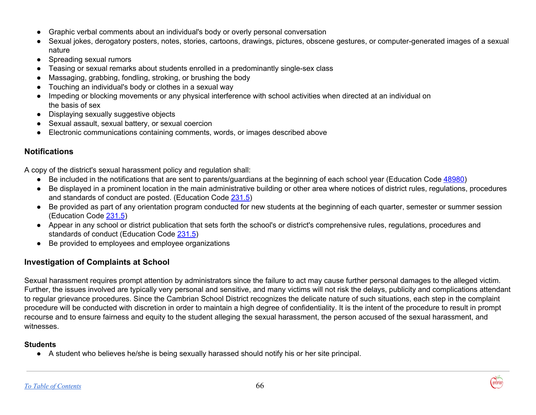- Graphic verbal comments about an individual's body or overly personal conversation
- Sexual jokes, derogatory posters, notes, stories, cartoons, drawings, pictures, obscene gestures, or computer-generated images of a sexual nature
- Spreading sexual rumors
- Teasing or sexual remarks about students enrolled in a predominantly single-sex class
- Massaging, grabbing, fondling, stroking, or brushing the body
- Touching an individual's body or clothes in a sexual way
- Impeding or blocking movements or any physical interference with school activities when directed at an individual on the basis of sex
- Displaying sexually suggestive objects
- Sexual assault, sexual battery, or sexual coercion
- Electronic communications containing comments, words, or images described above

### **Notifications**

A copy of the district's sexual harassment policy and regulation shall:

- Be included in the notifications that are sent to parents/guardians at the beginning of each school year (Education Code [48980](http://www.gamutonline.net/displayPolicy/226041/5))
- Be displayed in a prominent location in the main administrative building or other area where notices of district rules, regulations, procedures and standards of conduct are posted. (Education Code [231.5\)](http://www.gamutonline.net/displayPolicy/138760/5)
- Be provided as part of any orientation program conducted for new students at the beginning of each quarter, semester or summer session (Education Code [231.5](http://www.gamutonline.net/displayPolicy/138760/5))
- Appear in any school or district publication that sets forth the school's or district's comprehensive rules, regulations, procedures and standards of conduct (Education Code [231.5\)](http://www.gamutonline.net/displayPolicy/138760/5)
- Be provided to employees and employee organizations

## **Investigation of Complaints at School**

Sexual harassment requires prompt attention by administrators since the failure to act may cause further personal damages to the alleged victim. Further, the issues involved are typically very personal and sensitive, and many victims will not risk the delays, publicity and complications attendant to regular grievance procedures. Since the Cambrian School District recognizes the delicate nature of such situations, each step in the complaint procedure will be conducted with discretion in order to maintain a high degree of confidentiality. It is the intent of the procedure to result in prompt recourse and to ensure fairness and equity to the student alleging the sexual harassment, the person accused of the sexual harassment, and witnesses.

#### **Students**

● A student who believes he/she is being sexually harassed should notify his or her site principal.

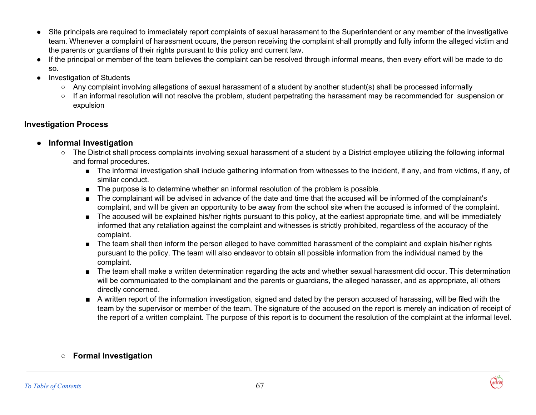- Site principals are required to immediately report complaints of sexual harassment to the Superintendent or any member of the investigative team. Whenever a complaint of harassment occurs, the person receiving the complaint shall promptly and fully inform the alleged victim and the parents or guardians of their rights pursuant to this policy and current law.
- If the principal or member of the team believes the complaint can be resolved through informal means, then every effort will be made to do so.
- **Investigation of Students** 
	- Any complaint involving allegations of sexual harassment of a student by another student(s) shall be processed informally
	- If an informal resolution will not resolve the problem, student perpetrating the harassment may be recommended for suspension or expulsion

## **Investigation Process**

- **● Informal Investigation**
	- **○** The District shall process complaints involving sexual harassment of a student by a District employee utilizing the following informal and formal procedures.
		- The informal investigation shall include gathering information from witnesses to the incident, if any, and from victims, if any, of similar conduct.
		- The purpose is to determine whether an informal resolution of the problem is possible.
		- The complainant will be advised in advance of the date and time that the accused will be informed of the complainant's complaint, and will be given an opportunity to be away from the school site when the accused is informed of the complaint.
		- The accused will be explained his/her rights pursuant to this policy, at the earliest appropriate time, and will be immediately informed that any retaliation against the complaint and witnesses is strictly prohibited, regardless of the accuracy of the complaint.
		- The team shall then inform the person alleged to have committed harassment of the complaint and explain his/her rights pursuant to the policy. The team will also endeavor to obtain all possible information from the individual named by the complaint.
		- The team shall make a written determination regarding the acts and whether sexual harassment did occur. This determination will be communicated to the complainant and the parents or guardians, the alleged harasser, and as appropriate, all others directly concerned.
		- A written report of the information investigation, signed and dated by the person accused of harassing, will be filed with the team by the supervisor or member of the team. The signature of the accused on the report is merely an indication of receipt of the report of a written complaint. The purpose of this report is to document the resolution of the complaint at the informal level.

## **○ Formal Investigation**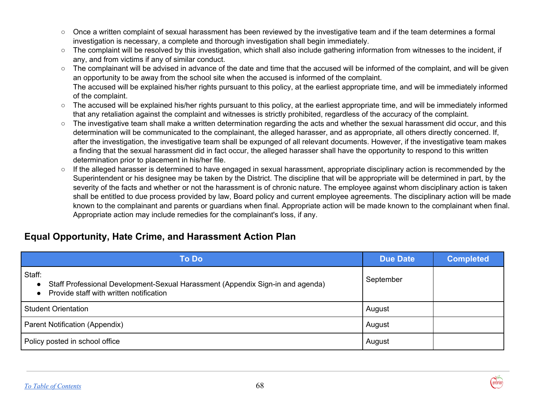- Once a written complaint of sexual harassment has been reviewed by the investigative team and if the team determines a formal investigation is necessary, a complete and thorough investigation shall begin immediately.
- The complaint will be resolved by this investigation, which shall also include gathering information from witnesses to the incident, if any, and from victims if any of similar conduct.
- The complainant will be advised in advance of the date and time that the accused will be informed of the complaint, and will be given an opportunity to be away from the school site when the accused is informed of the complaint. The accused will be explained his/her rights pursuant to this policy, at the earliest appropriate time, and will be immediately informed of the complaint.
- The accused will be explained his/her rights pursuant to this policy, at the earliest appropriate time, and will be immediately informed that any retaliation against the complaint and witnesses is strictly prohibited, regardless of the accuracy of the complaint.
- The investigative team shall make a written determination regarding the acts and whether the sexual harassment did occur, and this determination will be communicated to the complainant, the alleged harasser, and as appropriate, all others directly concerned. If, after the investigation, the investigative team shall be expunged of all relevant documents. However, if the investigative team makes a finding that the sexual harassment did in fact occur, the alleged harasser shall have the opportunity to respond to this written determination prior to placement in his/her file.
- If the alleged harasser is determined to have engaged in sexual harassment, appropriate disciplinary action is recommended by the Superintendent or his designee may be taken by the District. The discipline that will be appropriate will be determined in part, by the severity of the facts and whether or not the harassment is of chronic nature. The employee against whom disciplinary action is taken shall be entitled to due process provided by law, Board policy and current employee agreements. The disciplinary action will be made known to the complainant and parents or guardians when final. Appropriate action will be made known to the complainant when final. Appropriate action may include remedies for the complainant's loss, if any.

## **Equal Opportunity, Hate Crime, and Harassment Action Plan**

| <b>To Do</b>                                                                                                                                                  | <b>Due Date</b> | <b>Completed</b> |
|---------------------------------------------------------------------------------------------------------------------------------------------------------------|-----------------|------------------|
| Staff:<br>Staff Professional Development-Sexual Harassment (Appendix Sign-in and agenda)<br>$\bullet$<br>Provide staff with written notification<br>$\bullet$ | September       |                  |
| <b>Student Orientation</b>                                                                                                                                    | August          |                  |
| Parent Notification (Appendix)                                                                                                                                | August          |                  |
| Policy posted in school office                                                                                                                                | August          |                  |